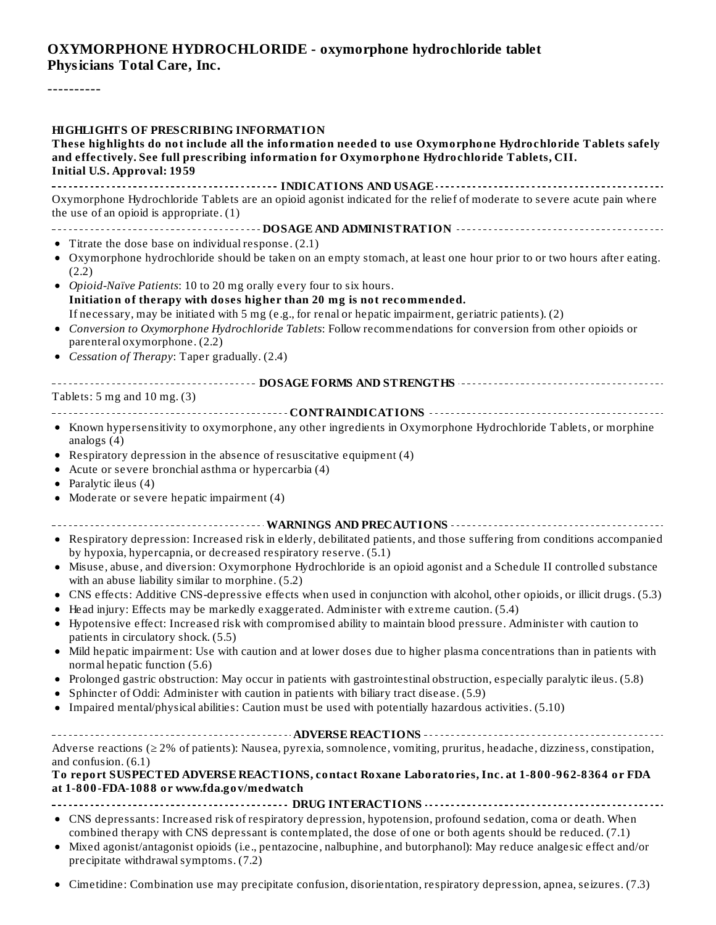### **OXYMORPHONE HYDROCHLORIDE - oxymorphone hydrochloride tablet Physicians Total Care, Inc.**

----------

| HIGHLIGHTS OF PRESCRIBING INFORMATION<br>These highlights do not include all the information needed to use Oxymorphone Hydrochloride Tablets safely<br>and effectively. See full prescribing information for Oxymorphone Hydrochloride Tablets, CII.<br><b>Initial U.S. Approval: 1959</b> |
|--------------------------------------------------------------------------------------------------------------------------------------------------------------------------------------------------------------------------------------------------------------------------------------------|
| Oxymorphone Hydrochloride Tablets are an opioid agonist indicated for the relief of moderate to severe acute pain where<br>the use of an opioid is appropriate. $(1)$                                                                                                                      |
|                                                                                                                                                                                                                                                                                            |
| • Titrate the dose base on individual response. $(2.1)$                                                                                                                                                                                                                                    |
| • Oxymorphone hydrochloride should be taken on an empty stomach, at least one hour prior to or two hours after eating.<br>(2.2)                                                                                                                                                            |
| • Opioid-Naïve Patients: 10 to 20 mg orally every four to six hours.                                                                                                                                                                                                                       |
| Initiation of therapy with doses higher than 20 mg is not recommended.                                                                                                                                                                                                                     |
| If necessary, may be initiated with 5 mg (e.g., for renal or hepatic impairment, geriatric patients). (2)                                                                                                                                                                                  |
| • Conversion to Oxymorphone Hydrochloride Tablets: Follow recommendations for conversion from other opioids or<br>parenteral oxymorphone. (2.2)                                                                                                                                            |
| • Cessation of Therapy: Taper gradually. (2.4)                                                                                                                                                                                                                                             |
|                                                                                                                                                                                                                                                                                            |
| Tablets: $5 \text{ mg}$ and $10 \text{ mg}$ . (3)                                                                                                                                                                                                                                          |
| • Known hypersensitivity to oxymorphone, any other ingredients in Oxymorphone Hydrochloride Tablets, or morphine                                                                                                                                                                           |
| analogs $(4)$                                                                                                                                                                                                                                                                              |
| • Respiratory depression in the absence of resuscitative equipment (4)                                                                                                                                                                                                                     |
| • Acute or severe bronchial asthma or hypercarbia (4)                                                                                                                                                                                                                                      |
| • Paralytic ileus $(4)$                                                                                                                                                                                                                                                                    |
| • Moderate or severe hepatic impairment (4)                                                                                                                                                                                                                                                |
|                                                                                                                                                                                                                                                                                            |
| • Respiratory depression: Increased risk in elderly, debilitated patients, and those suffering from conditions accompanied<br>by hypoxia, hypercapnia, or decreased respiratory reserve. (5.1)                                                                                             |
| • Misuse, abuse, and diversion: Oxymorphone Hydrochloride is an opioid agonist and a Schedule II controlled substance<br>with an abuse liability similar to morphine. (5.2)                                                                                                                |
| • CNS effects: Additive CNS-depressive effects when used in conjunction with alcohol, other opioids, or illicit drugs. (5.3)<br>• Head injury: Effects may be markedly exaggerated. Administer with extreme caution. (5.4)                                                                 |
| • Hypotensive effect: Increased risk with compromised ability to maintain blood pressure. Administer with caution to<br>patients in circulatory shock. (5.5)                                                                                                                               |
| • Mild hepatic impairment: Use with caution and at lower doses due to higher plasma concentrations than in patients with<br>normal hepatic function (5.6)                                                                                                                                  |
| • Prolonged gastric obstruction: May occur in patients with gastrointestinal obstruction, especially paralytic ileus. (5.8)                                                                                                                                                                |
| Sphincter of Oddi: Administer with caution in patients with biliary tract disease. (5.9)                                                                                                                                                                                                   |
| • Impaired mental/physical abilities: Caution must be used with potentially hazardous activities. (5.10)                                                                                                                                                                                   |
|                                                                                                                                                                                                                                                                                            |
| Adverse reactions ( $\geq 2\%$ of patients): Nausea, pyrexia, somnolence, vomiting, pruritus, headache, dizziness, constipation,                                                                                                                                                           |
| and confusion. (6.1)<br>To report SUSPECTED ADVERSE REACTIONS, contact Roxane Laboratories, Inc. at 1-800-962-8364 or FDA<br>at 1-800-FDA-1088 or www.fda.gov/medwatch                                                                                                                     |
|                                                                                                                                                                                                                                                                                            |
| $\bullet$ CNS depressants: Increased risk of respiratory depression bypotension profound sedation coma or death When                                                                                                                                                                       |

- CNS depressants: Increased risk of respiratory depression, hypotension, profound sedation, coma or death. When combined therapy with CNS depressant is contemplated, the dose of one or both agents should be reduced. (7.1)
- Mixed agonist/antagonist opioids (i.e., pentazocine, nalbuphine, and butorphanol): May reduce analgesic effect and/or precipitate withdrawal symptoms. (7.2)
- Cimetidine: Combination use may precipitate confusion, disorientation, respiratory depression, apnea, seizures. (7.3)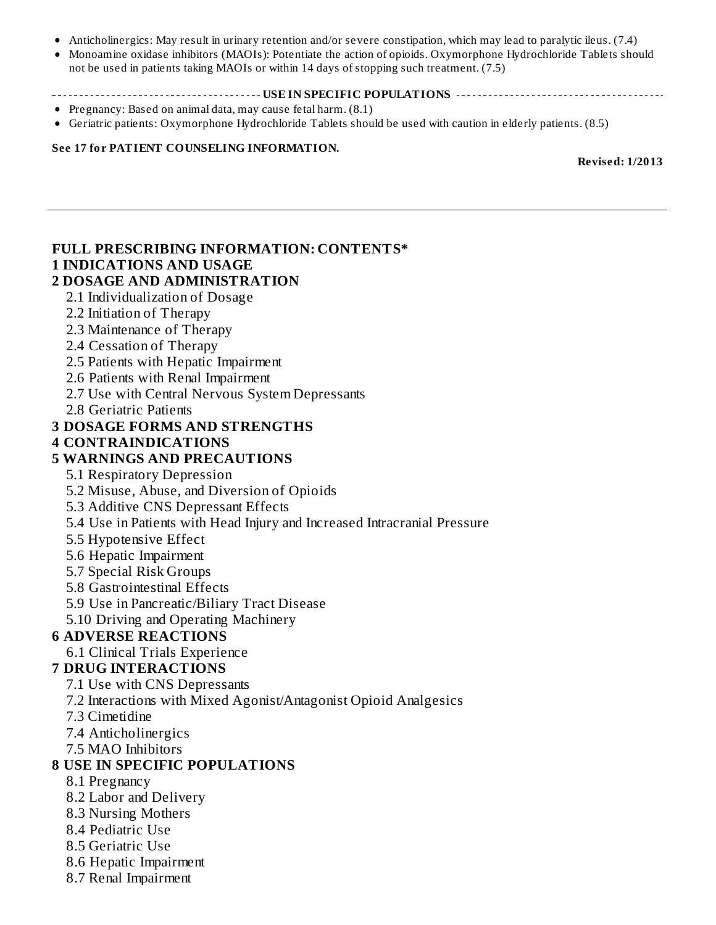- Anticholinergics: May result in urinary retention and/or severe constipation, which may lead to paralytic ileus. (7.4)
- Monoamine oxidase inhibitors (MAOIs): Potentiate the action of opioids. Oxymorphone Hydrochloride Tablets should  $\bullet$ not be used in patients taking MAOIs or within 14 days of stopping such treatment. (7.5)

#### **USE IN SPECIFIC POPULATIONS**

- Pregnancy: Based on animal data, may cause fetal harm. (8.1)
- Geriatric patients: Oxymorphone Hydrochloride Tablets should be used with caution in elderly patients. (8.5)

#### **See 17 for PATIENT COUNSELING INFORMATION.**

**Revised: 1/2013**

#### **FULL PRESCRIBING INFORMATION: CONTENTS\* 1 INDICATIONS AND USAGE 2 DOSAGE AND ADMINISTRATION** 2.1 Individualization of Dosage 2.2 Initiation of Therapy 2.3 Maintenance of Therapy 2.4 Cessation of Therapy 2.5 Patients with Hepatic Impairment 2.6 Patients with Renal Impairment 2.7 Use with Central Nervous System Depressants 2.8 Geriatric Patients **3 DOSAGE FORMS AND STRENGTHS 4 CONTRAINDICATIONS 5 WARNINGS AND PRECAUTIONS** 5.1 Respiratory Depression 5.2 Misuse, Abuse, and Diversion of Opioids 5.3 Additive CNS Depressant Effects 5.4 Use in Patients with Head Injury and Increased Intracranial Pressure 5.5 Hypotensive Effect 5.6 Hepatic Impairment 5.7 Special Risk Groups 5.8 Gastrointestinal Effects 5.9 Use in Pancreatic/Biliary Tract Disease 5.10 Driving and Operating Machinery **6 ADVERSE REACTIONS** 6.1 Clinical Trials Experience **7 DRUG INTERACTIONS** 7.1 Use with CNS Depressants 7.2 Interactions with Mixed Agonist/Antagonist Opioid Analgesics 7.3 Cimetidine 7.4 Anticholinergics 7.5 MAO Inhibitors **8 USE IN SPECIFIC POPULATIONS** 8.1 Pregnancy 8.2 Labor and Delivery 8.3 Nursing Mothers

- 8.4 Pediatric Use
- 8.5 Geriatric Use
- 8.6 Hepatic Impairment
- 8.7 Renal Impairment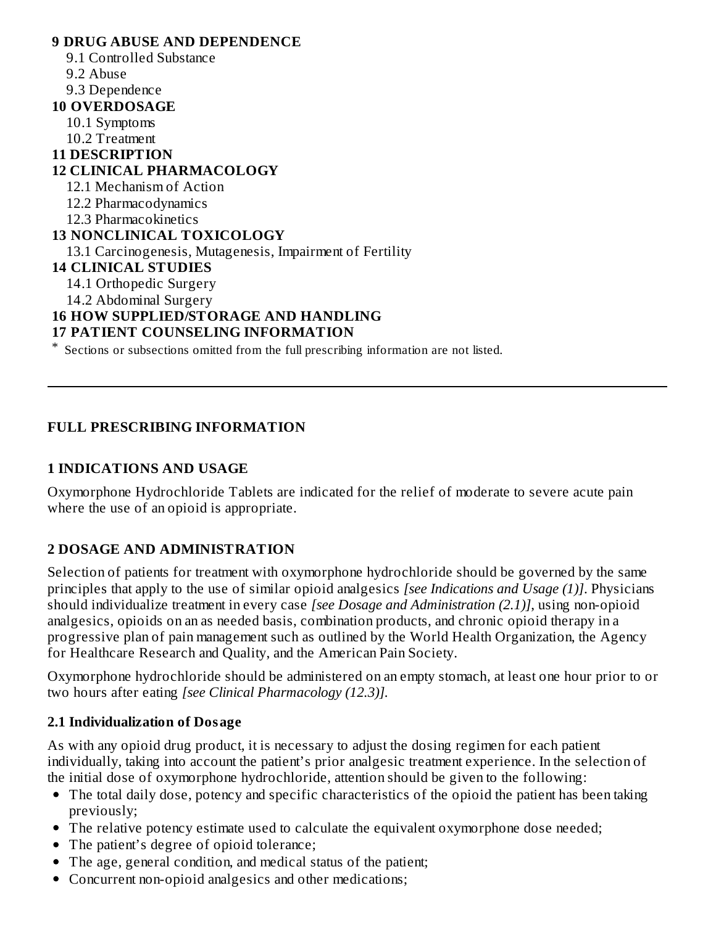#### **9 DRUG ABUSE AND DEPENDENCE** 9.1 Controlled Substance 9.2 Abuse 9.3 Dependence **10 OVERDOSAGE** 10.1 Symptoms 10.2 Treatment **11 DESCRIPTION 12 CLINICAL PHARMACOLOGY** 12.1 Mechanism of Action 12.2 Pharmacodynamics 12.3 Pharmacokinetics **13 NONCLINICAL TOXICOLOGY** 13.1 Carcinogenesis, Mutagenesis, Impairment of Fertility **14 CLINICAL STUDIES** 14.1 Orthopedic Surgery 14.2 Abdominal Surgery **16 HOW SUPPLIED/STORAGE AND HANDLING 17 PATIENT COUNSELING INFORMATION**

\* Sections or subsections omitted from the full prescribing information are not listed.

#### **FULL PRESCRIBING INFORMATION**

#### **1 INDICATIONS AND USAGE**

Oxymorphone Hydrochloride Tablets are indicated for the relief of moderate to severe acute pain where the use of an opioid is appropriate.

### **2 DOSAGE AND ADMINISTRATION**

Selection of patients for treatment with oxymorphone hydrochloride should be governed by the same principles that apply to the use of similar opioid analgesics *[see Indications and Usage (1)]*. Physicians should individualize treatment in every case *[see Dosage and Administration (2.1)]*, using non-opioid analgesics, opioids on an as needed basis, combination products, and chronic opioid therapy in a progressive plan of pain management such as outlined by the World Health Organization, the Agency for Healthcare Research and Quality, and the American Pain Society.

Oxymorphone hydrochloride should be administered on an empty stomach, at least one hour prior to or two hours after eating *[see Clinical Pharmacology (12.3)].*

#### **2.1 Individualization of Dosage**

As with any opioid drug product, it is necessary to adjust the dosing regimen for each patient individually, taking into account the patient's prior analgesic treatment experience. In the selection of the initial dose of oxymorphone hydrochloride, attention should be given to the following:

- The total daily dose, potency and specific characteristics of the opioid the patient has been taking previously;
- The relative potency estimate used to calculate the equivalent oxymorphone dose needed;
- The patient's degree of opioid tolerance;
- The age, general condition, and medical status of the patient;
- Concurrent non-opioid analgesics and other medications;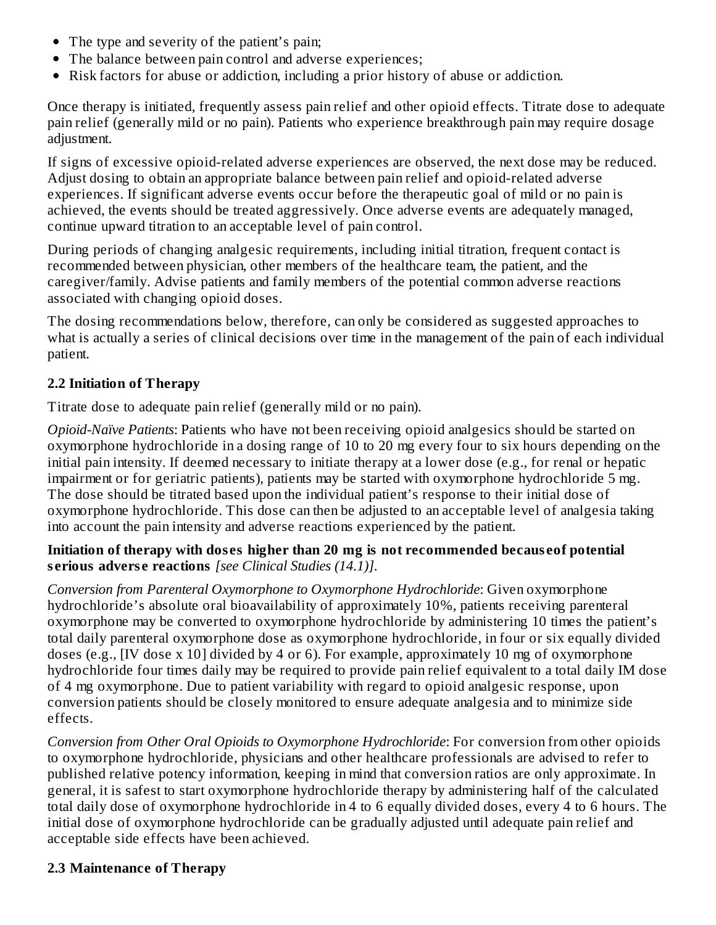- The type and severity of the patient's pain;
- The balance between pain control and adverse experiences;
- Risk factors for abuse or addiction, including a prior history of abuse or addiction.

Once therapy is initiated, frequently assess pain relief and other opioid effects. Titrate dose to adequate pain relief (generally mild or no pain). Patients who experience breakthrough pain may require dosage adjustment.

If signs of excessive opioid-related adverse experiences are observed, the next dose may be reduced. Adjust dosing to obtain an appropriate balance between pain relief and opioid-related adverse experiences. If significant adverse events occur before the therapeutic goal of mild or no pain is achieved, the events should be treated aggressively. Once adverse events are adequately managed, continue upward titration to an acceptable level of pain control.

During periods of changing analgesic requirements, including initial titration, frequent contact is recommended between physician, other members of the healthcare team, the patient, and the caregiver/family. Advise patients and family members of the potential common adverse reactions associated with changing opioid doses.

The dosing recommendations below, therefore, can only be considered as suggested approaches to what is actually a series of clinical decisions over time in the management of the pain of each individual patient.

### **2.2 Initiation of Therapy**

Titrate dose to adequate pain relief (generally mild or no pain).

*Opioid-Naïve Patients*: Patients who have not been receiving opioid analgesics should be started on oxymorphone hydrochloride in a dosing range of 10 to 20 mg every four to six hours depending on the initial pain intensity. If deemed necessary to initiate therapy at a lower dose (e.g., for renal or hepatic impairment or for geriatric patients), patients may be started with oxymorphone hydrochloride 5 mg. The dose should be titrated based upon the individual patient's response to their initial dose of oxymorphone hydrochloride. This dose can then be adjusted to an acceptable level of analgesia taking into account the pain intensity and adverse reactions experienced by the patient.

#### **Initiation of therapy with dos es higher than 20 mg is not recommended becaus eof potential s erious advers e reactions** *[see Clinical Studies (14.1)]*.

*Conversion from Parenteral Oxymorphone to Oxymorphone Hydrochloride*: Given oxymorphone hydrochloride's absolute oral bioavailability of approximately 10%, patients receiving parenteral oxymorphone may be converted to oxymorphone hydrochloride by administering 10 times the patient's total daily parenteral oxymorphone dose as oxymorphone hydrochloride, in four or six equally divided doses (e.g., [IV dose x 10] divided by 4 or 6). For example, approximately 10 mg of oxymorphone hydrochloride four times daily may be required to provide pain relief equivalent to a total daily IM dose of 4 mg oxymorphone. Due to patient variability with regard to opioid analgesic response, upon conversion patients should be closely monitored to ensure adequate analgesia and to minimize side effects.

*Conversion from Other Oral Opioids to Oxymorphone Hydrochloride*: For conversion from other opioids to oxymorphone hydrochloride, physicians and other healthcare professionals are advised to refer to published relative potency information, keeping in mind that conversion ratios are only approximate. In general, it is safest to start oxymorphone hydrochloride therapy by administering half of the calculated total daily dose of oxymorphone hydrochloride in 4 to 6 equally divided doses, every 4 to 6 hours. The initial dose of oxymorphone hydrochloride can be gradually adjusted until adequate pain relief and acceptable side effects have been achieved.

### **2.3 Maintenance of Therapy**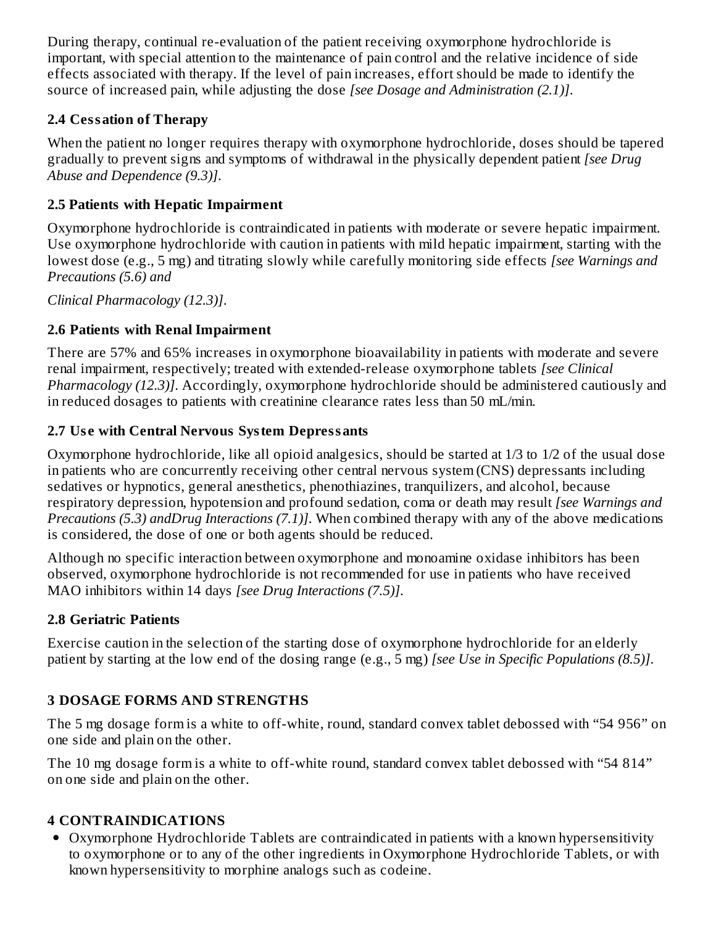During therapy, continual re-evaluation of the patient receiving oxymorphone hydrochloride is important, with special attention to the maintenance of pain control and the relative incidence of side effects associated with therapy. If the level of pain increases, effort should be made to identify the source of increased pain, while adjusting the dose *[see Dosage and Administration (2.1)]*.

### **2.4 Cessation of Therapy**

When the patient no longer requires therapy with oxymorphone hydrochloride, doses should be tapered gradually to prevent signs and symptoms of withdrawal in the physically dependent patient *[see Drug Abuse and Dependence (9.3)]*.

### **2.5 Patients with Hepatic Impairment**

Oxymorphone hydrochloride is contraindicated in patients with moderate or severe hepatic impairment. Use oxymorphone hydrochloride with caution in patients with mild hepatic impairment, starting with the lowest dose (e.g., 5 mg) and titrating slowly while carefully monitoring side effects *[see Warnings and Precautions (5.6) and*

*Clinical Pharmacology (12.3)]*.

### **2.6 Patients with Renal Impairment**

There are 57% and 65% increases in oxymorphone bioavailability in patients with moderate and severe renal impairment, respectively; treated with extended-release oxymorphone tablets *[see Clinical Pharmacology (12.3)]*. Accordingly, oxymorphone hydrochloride should be administered cautiously and in reduced dosages to patients with creatinine clearance rates less than 50 mL/min.

### **2.7 Us e with Central Nervous System Depressants**

Oxymorphone hydrochloride, like all opioid analgesics, should be started at 1/3 to 1/2 of the usual dose in patients who are concurrently receiving other central nervous system (CNS) depressants including sedatives or hypnotics, general anesthetics, phenothiazines, tranquilizers, and alcohol, because respiratory depression, hypotension and profound sedation, coma or death may result *[see Warnings and Precautions (5.3) andDrug Interactions (7.1)]*. When combined therapy with any of the above medications is considered, the dose of one or both agents should be reduced.

Although no specific interaction between oxymorphone and monoamine oxidase inhibitors has been observed, oxymorphone hydrochloride is not recommended for use in patients who have received MAO inhibitors within 14 days *[see Drug Interactions (7.5)]*.

### **2.8 Geriatric Patients**

Exercise caution in the selection of the starting dose of oxymorphone hydrochloride for an elderly patient by starting at the low end of the dosing range (e.g., 5 mg) *[see Use in Specific Populations (8.5)]*.

### **3 DOSAGE FORMS AND STRENGTHS**

The 5 mg dosage form is a white to off-white, round, standard convex tablet debossed with "54 956" on one side and plain on the other.

The 10 mg dosage form is a white to off-white round, standard convex tablet debossed with "54 814" on one side and plain on the other.

### **4 CONTRAINDICATIONS**

Oxymorphone Hydrochloride Tablets are contraindicated in patients with a known hypersensitivity to oxymorphone or to any of the other ingredients in Oxymorphone Hydrochloride Tablets, or with known hypersensitivity to morphine analogs such as codeine.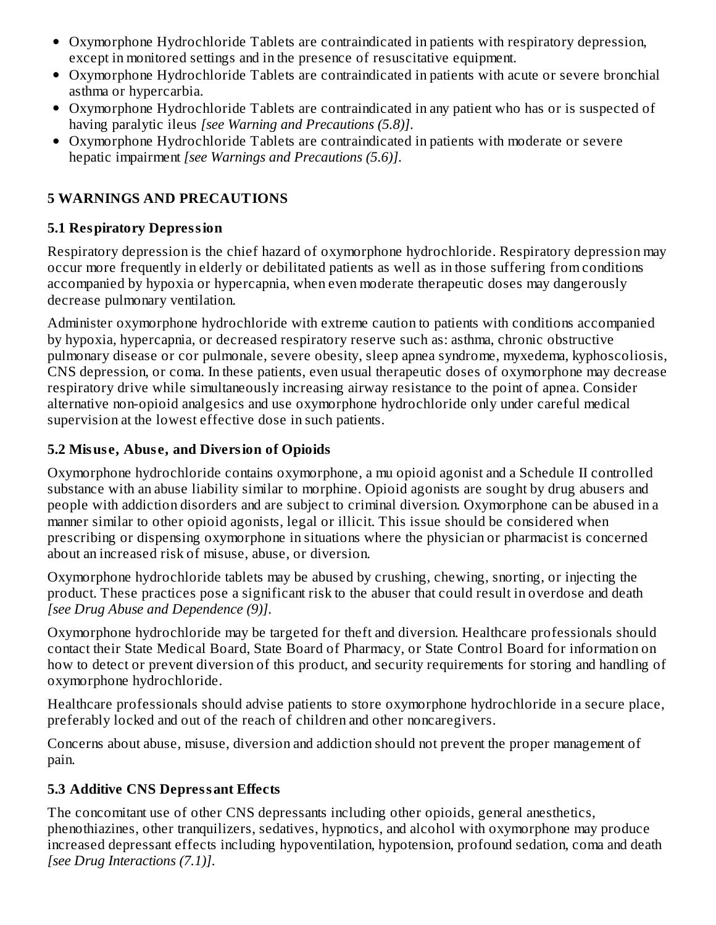- Oxymorphone Hydrochloride Tablets are contraindicated in patients with respiratory depression, except in monitored settings and in the presence of resuscitative equipment.
- Oxymorphone Hydrochloride Tablets are contraindicated in patients with acute or severe bronchial asthma or hypercarbia.
- Oxymorphone Hydrochloride Tablets are contraindicated in any patient who has or is suspected of having paralytic ileus *[see Warning and Precautions (5.8)]*.
- Oxymorphone Hydrochloride Tablets are contraindicated in patients with moderate or severe hepatic impairment *[see Warnings and Precautions (5.6)]*.

### **5 WARNINGS AND PRECAUTIONS**

### **5.1 Respiratory Depression**

Respiratory depression is the chief hazard of oxymorphone hydrochloride. Respiratory depression may occur more frequently in elderly or debilitated patients as well as in those suffering from conditions accompanied by hypoxia or hypercapnia, when even moderate therapeutic doses may dangerously decrease pulmonary ventilation.

Administer oxymorphone hydrochloride with extreme caution to patients with conditions accompanied by hypoxia, hypercapnia, or decreased respiratory reserve such as: asthma, chronic obstructive pulmonary disease or cor pulmonale, severe obesity, sleep apnea syndrome, myxedema, kyphoscoliosis, CNS depression, or coma. In these patients, even usual therapeutic doses of oxymorphone may decrease respiratory drive while simultaneously increasing airway resistance to the point of apnea. Consider alternative non-opioid analgesics and use oxymorphone hydrochloride only under careful medical supervision at the lowest effective dose in such patients.

### **5.2 Misus e, Abus e, and Diversion of Opioids**

Oxymorphone hydrochloride contains oxymorphone, a mu opioid agonist and a Schedule II controlled substance with an abuse liability similar to morphine. Opioid agonists are sought by drug abusers and people with addiction disorders and are subject to criminal diversion. Oxymorphone can be abused in a manner similar to other opioid agonists, legal or illicit. This issue should be considered when prescribing or dispensing oxymorphone in situations where the physician or pharmacist is concerned about an increased risk of misuse, abuse, or diversion.

Oxymorphone hydrochloride tablets may be abused by crushing, chewing, snorting, or injecting the product. These practices pose a significant risk to the abuser that could result in overdose and death *[see Drug Abuse and Dependence (9)]*.

Oxymorphone hydrochloride may be targeted for theft and diversion. Healthcare professionals should contact their State Medical Board, State Board of Pharmacy, or State Control Board for information on how to detect or prevent diversion of this product, and security requirements for storing and handling of oxymorphone hydrochloride.

Healthcare professionals should advise patients to store oxymorphone hydrochloride in a secure place, preferably locked and out of the reach of children and other noncaregivers.

Concerns about abuse, misuse, diversion and addiction should not prevent the proper management of pain.

## **5.3 Additive CNS Depressant Effects**

The concomitant use of other CNS depressants including other opioids, general anesthetics, phenothiazines, other tranquilizers, sedatives, hypnotics, and alcohol with oxymorphone may produce increased depressant effects including hypoventilation, hypotension, profound sedation, coma and death *[see Drug Interactions (7.1)]*.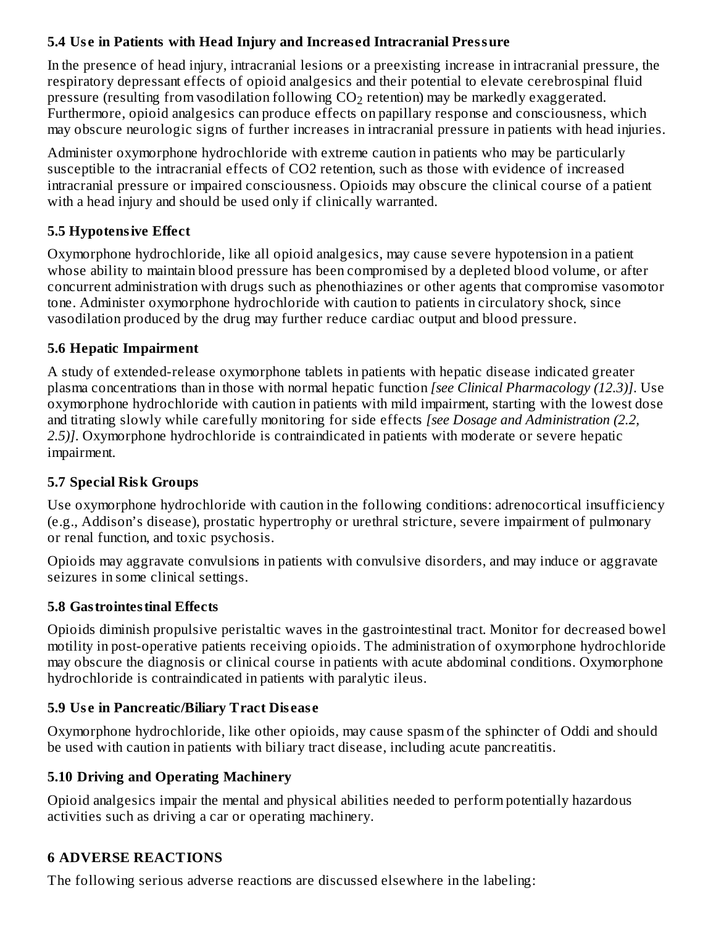### **5.4 Us e in Patients with Head Injury and Increas ed Intracranial Pressure**

In the presence of head injury, intracranial lesions or a preexisting increase in intracranial pressure, the respiratory depressant effects of opioid analgesics and their potential to elevate cerebrospinal fluid pressure (resulting from vasodilation following  $\mathrm{CO}_2$  retention) may be markedly exaggerated. Furthermore, opioid analgesics can produce effects on papillary response and consciousness, which may obscure neurologic signs of further increases in intracranial pressure in patients with head injuries.

Administer oxymorphone hydrochloride with extreme caution in patients who may be particularly susceptible to the intracranial effects of CO2 retention, such as those with evidence of increased intracranial pressure or impaired consciousness. Opioids may obscure the clinical course of a patient with a head injury and should be used only if clinically warranted.

### **5.5 Hypotensive Effect**

Oxymorphone hydrochloride, like all opioid analgesics, may cause severe hypotension in a patient whose ability to maintain blood pressure has been compromised by a depleted blood volume, or after concurrent administration with drugs such as phenothiazines or other agents that compromise vasomotor tone. Administer oxymorphone hydrochloride with caution to patients in circulatory shock, since vasodilation produced by the drug may further reduce cardiac output and blood pressure.

### **5.6 Hepatic Impairment**

A study of extended-release oxymorphone tablets in patients with hepatic disease indicated greater plasma concentrations than in those with normal hepatic function *[see Clinical Pharmacology (12.3)]*. Use oxymorphone hydrochloride with caution in patients with mild impairment, starting with the lowest dose and titrating slowly while carefully monitoring for side effects *[see Dosage and Administration (2.2, 2.5)]*. Oxymorphone hydrochloride is contraindicated in patients with moderate or severe hepatic impairment.

### **5.7 Special Risk Groups**

Use oxymorphone hydrochloride with caution in the following conditions: adrenocortical insufficiency (e.g., Addison's disease), prostatic hypertrophy or urethral stricture, severe impairment of pulmonary or renal function, and toxic psychosis.

Opioids may aggravate convulsions in patients with convulsive disorders, and may induce or aggravate seizures in some clinical settings.

### **5.8 Gastrointestinal Effects**

Opioids diminish propulsive peristaltic waves in the gastrointestinal tract. Monitor for decreased bowel motility in post-operative patients receiving opioids. The administration of oxymorphone hydrochloride may obscure the diagnosis or clinical course in patients with acute abdominal conditions. Oxymorphone hydrochloride is contraindicated in patients with paralytic ileus.

### **5.9 Us e in Pancreatic/Biliary Tract Dis eas e**

Oxymorphone hydrochloride, like other opioids, may cause spasm of the sphincter of Oddi and should be used with caution in patients with biliary tract disease, including acute pancreatitis.

### **5.10 Driving and Operating Machinery**

Opioid analgesics impair the mental and physical abilities needed to perform potentially hazardous activities such as driving a car or operating machinery.

### **6 ADVERSE REACTIONS**

The following serious adverse reactions are discussed elsewhere in the labeling: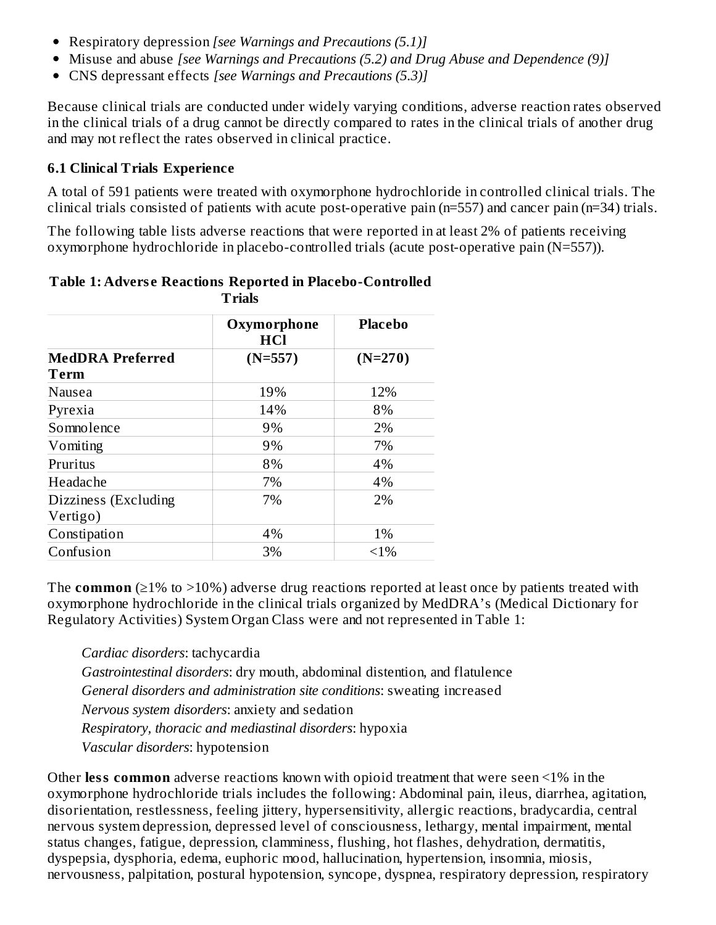- Respiratory depression *[see Warnings and Precautions (5.1)]*
- Misuse and abuse *[see Warnings and Precautions (5.2) and Drug Abuse and Dependence (9)]*
- CNS depressant effects *[see Warnings and Precautions (5.3)]*

Because clinical trials are conducted under widely varying conditions, adverse reaction rates observed in the clinical trials of a drug cannot be directly compared to rates in the clinical trials of another drug and may not reflect the rates observed in clinical practice.

### **6.1 Clinical Trials Experience**

A total of 591 patients were treated with oxymorphone hydrochloride in controlled clinical trials. The clinical trials consisted of patients with acute post-operative pain (n=557) and cancer pain (n=34) trials.

The following table lists adverse reactions that were reported in at least 2% of patients receiving oxymorphone hydrochloride in placebo-controlled trials (acute post-operative pain (N=557)).

| .                       |                           |                |  |  |  |  |
|-------------------------|---------------------------|----------------|--|--|--|--|
|                         | Oxymorphone<br><b>HCl</b> | <b>Placebo</b> |  |  |  |  |
| <b>MedDRA Preferred</b> | $(N=557)$                 | $(N=270)$      |  |  |  |  |
| Term                    |                           |                |  |  |  |  |
| Nausea                  | 19%                       | 12%            |  |  |  |  |
| Pyrexia                 | 14%                       | 8%             |  |  |  |  |
| Somnolence              | 9%                        | 2%             |  |  |  |  |
| Vomiting                | 9%                        | 7%             |  |  |  |  |
| Pruritus                | 8%                        | 4%             |  |  |  |  |
| Headache                | 7%                        | 4%             |  |  |  |  |
| Dizziness (Excluding    | 7%                        | 2%             |  |  |  |  |
| Vertigo)                |                           |                |  |  |  |  |
| Constipation            | 4%                        | 1%             |  |  |  |  |
| Confusion               | 3%                        | $<1\%$         |  |  |  |  |

#### **Table 1: Advers e Reactions Reported in Placebo-Controlled Trials**

The **common** (≥1% to >10%) adverse drug reactions reported at least once by patients treated with oxymorphone hydrochloride in the clinical trials organized by MedDRA's (Medical Dictionary for Regulatory Activities) System Organ Class were and not represented in Table 1:

*Cardiac disorders*: tachycardia *Gastrointestinal disorders*: dry mouth, abdominal distention, and flatulence *General disorders and administration site conditions*: sweating increased *Nervous system disorders*: anxiety and sedation *Respiratory, thoracic and mediastinal disorders*: hypoxia *Vascular disorders*: hypotension

Other **less common** adverse reactions known with opioid treatment that were seen <1% in the oxymorphone hydrochloride trials includes the following: Abdominal pain, ileus, diarrhea, agitation, disorientation, restlessness, feeling jittery, hypersensitivity, allergic reactions, bradycardia, central nervous system depression, depressed level of consciousness, lethargy, mental impairment, mental status changes, fatigue, depression, clamminess, flushing, hot flashes, dehydration, dermatitis, dyspepsia, dysphoria, edema, euphoric mood, hallucination, hypertension, insomnia, miosis, nervousness, palpitation, postural hypotension, syncope, dyspnea, respiratory depression, respiratory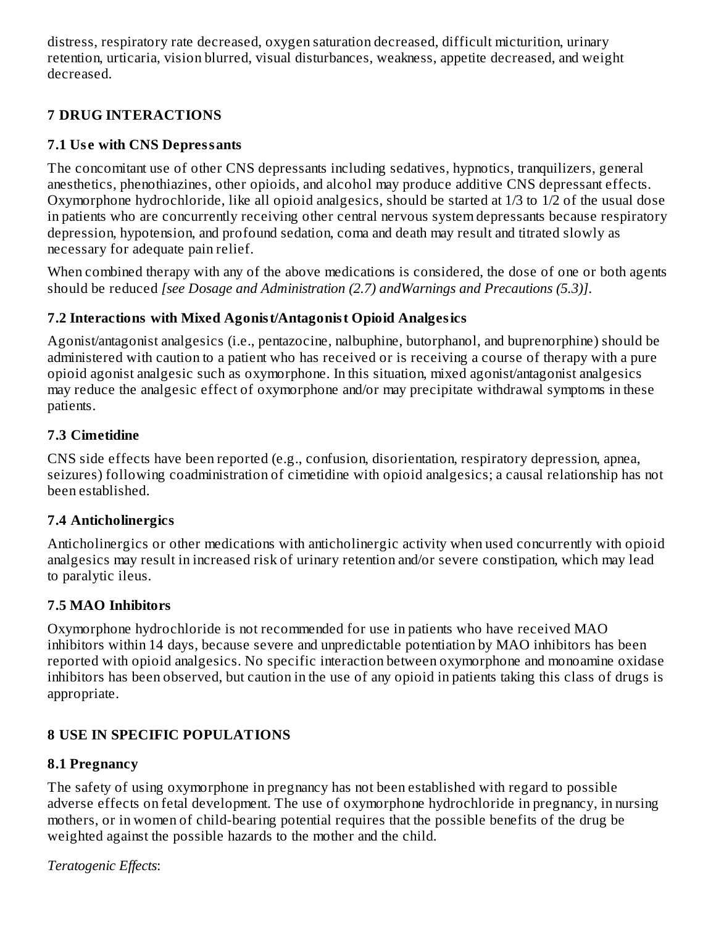distress, respiratory rate decreased, oxygen saturation decreased, difficult micturition, urinary retention, urticaria, vision blurred, visual disturbances, weakness, appetite decreased, and weight decreased.

### **7 DRUG INTERACTIONS**

### **7.1 Us e with CNS Depressants**

The concomitant use of other CNS depressants including sedatives, hypnotics, tranquilizers, general anesthetics, phenothiazines, other opioids, and alcohol may produce additive CNS depressant effects. Oxymorphone hydrochloride, like all opioid analgesics, should be started at 1/3 to 1/2 of the usual dose in patients who are concurrently receiving other central nervous system depressants because respiratory depression, hypotension, and profound sedation, coma and death may result and titrated slowly as necessary for adequate pain relief.

When combined therapy with any of the above medications is considered, the dose of one or both agents should be reduced *[see Dosage and Administration (2.7) andWarnings and Precautions (5.3)]*.

### **7.2 Interactions with Mixed Agonist/Antagonist Opioid Analgesics**

Agonist/antagonist analgesics (i.e., pentazocine, nalbuphine, butorphanol, and buprenorphine) should be administered with caution to a patient who has received or is receiving a course of therapy with a pure opioid agonist analgesic such as oxymorphone. In this situation, mixed agonist/antagonist analgesics may reduce the analgesic effect of oxymorphone and/or may precipitate withdrawal symptoms in these patients.

### **7.3 Cimetidine**

CNS side effects have been reported (e.g., confusion, disorientation, respiratory depression, apnea, seizures) following coadministration of cimetidine with opioid analgesics; a causal relationship has not been established.

### **7.4 Anticholinergics**

Anticholinergics or other medications with anticholinergic activity when used concurrently with opioid analgesics may result in increased risk of urinary retention and/or severe constipation, which may lead to paralytic ileus.

## **7.5 MAO Inhibitors**

Oxymorphone hydrochloride is not recommended for use in patients who have received MAO inhibitors within 14 days, because severe and unpredictable potentiation by MAO inhibitors has been reported with opioid analgesics. No specific interaction between oxymorphone and monoamine oxidase inhibitors has been observed, but caution in the use of any opioid in patients taking this class of drugs is appropriate.

## **8 USE IN SPECIFIC POPULATIONS**

## **8.1 Pregnancy**

The safety of using oxymorphone in pregnancy has not been established with regard to possible adverse effects on fetal development. The use of oxymorphone hydrochloride in pregnancy, in nursing mothers, or in women of child-bearing potential requires that the possible benefits of the drug be weighted against the possible hazards to the mother and the child.

*Teratogenic Effects*: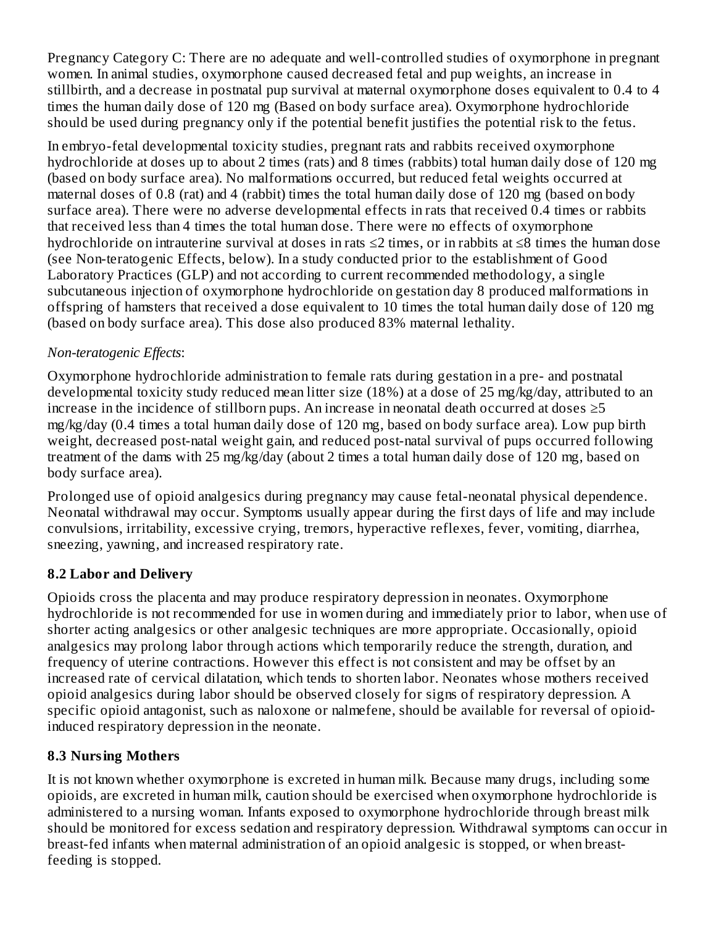Pregnancy Category C: There are no adequate and well-controlled studies of oxymorphone in pregnant women. In animal studies, oxymorphone caused decreased fetal and pup weights, an increase in stillbirth, and a decrease in postnatal pup survival at maternal oxymorphone doses equivalent to 0.4 to 4 times the human daily dose of 120 mg (Based on body surface area). Oxymorphone hydrochloride should be used during pregnancy only if the potential benefit justifies the potential risk to the fetus.

In embryo-fetal developmental toxicity studies, pregnant rats and rabbits received oxymorphone hydrochloride at doses up to about 2 times (rats) and 8 times (rabbits) total human daily dose of 120 mg (based on body surface area). No malformations occurred, but reduced fetal weights occurred at maternal doses of 0.8 (rat) and 4 (rabbit) times the total human daily dose of 120 mg (based on body surface area). There were no adverse developmental effects in rats that received 0.4 times or rabbits that received less than 4 times the total human dose. There were no effects of oxymorphone hydrochloride on intrauterine survival at doses in rats ≤2 times, or in rabbits at ≤8 times the human dose (see Non-teratogenic Effects, below). In a study conducted prior to the establishment of Good Laboratory Practices (GLP) and not according to current recommended methodology, a single subcutaneous injection of oxymorphone hydrochloride on gestation day 8 produced malformations in offspring of hamsters that received a dose equivalent to 10 times the total human daily dose of 120 mg (based on body surface area). This dose also produced 83% maternal lethality.

### *Non-teratogenic Effects*:

Oxymorphone hydrochloride administration to female rats during gestation in a pre- and postnatal developmental toxicity study reduced mean litter size (18%) at a dose of 25 mg/kg/day, attributed to an increase in the incidence of stillborn pups. An increase in neonatal death occurred at doses  $\geq 5$ mg/kg/day (0.4 times a total human daily dose of 120 mg, based on body surface area). Low pup birth weight, decreased post-natal weight gain, and reduced post-natal survival of pups occurred following treatment of the dams with 25 mg/kg/day (about 2 times a total human daily dose of 120 mg, based on body surface area).

Prolonged use of opioid analgesics during pregnancy may cause fetal-neonatal physical dependence. Neonatal withdrawal may occur. Symptoms usually appear during the first days of life and may include convulsions, irritability, excessive crying, tremors, hyperactive reflexes, fever, vomiting, diarrhea, sneezing, yawning, and increased respiratory rate.

### **8.2 Labor and Delivery**

Opioids cross the placenta and may produce respiratory depression in neonates. Oxymorphone hydrochloride is not recommended for use in women during and immediately prior to labor, when use of shorter acting analgesics or other analgesic techniques are more appropriate. Occasionally, opioid analgesics may prolong labor through actions which temporarily reduce the strength, duration, and frequency of uterine contractions. However this effect is not consistent and may be offset by an increased rate of cervical dilatation, which tends to shorten labor. Neonates whose mothers received opioid analgesics during labor should be observed closely for signs of respiratory depression. A specific opioid antagonist, such as naloxone or nalmefene, should be available for reversal of opioidinduced respiratory depression in the neonate.

## **8.3 Nursing Mothers**

It is not known whether oxymorphone is excreted in human milk. Because many drugs, including some opioids, are excreted in human milk, caution should be exercised when oxymorphone hydrochloride is administered to a nursing woman. Infants exposed to oxymorphone hydrochloride through breast milk should be monitored for excess sedation and respiratory depression. Withdrawal symptoms can occur in breast-fed infants when maternal administration of an opioid analgesic is stopped, or when breastfeeding is stopped.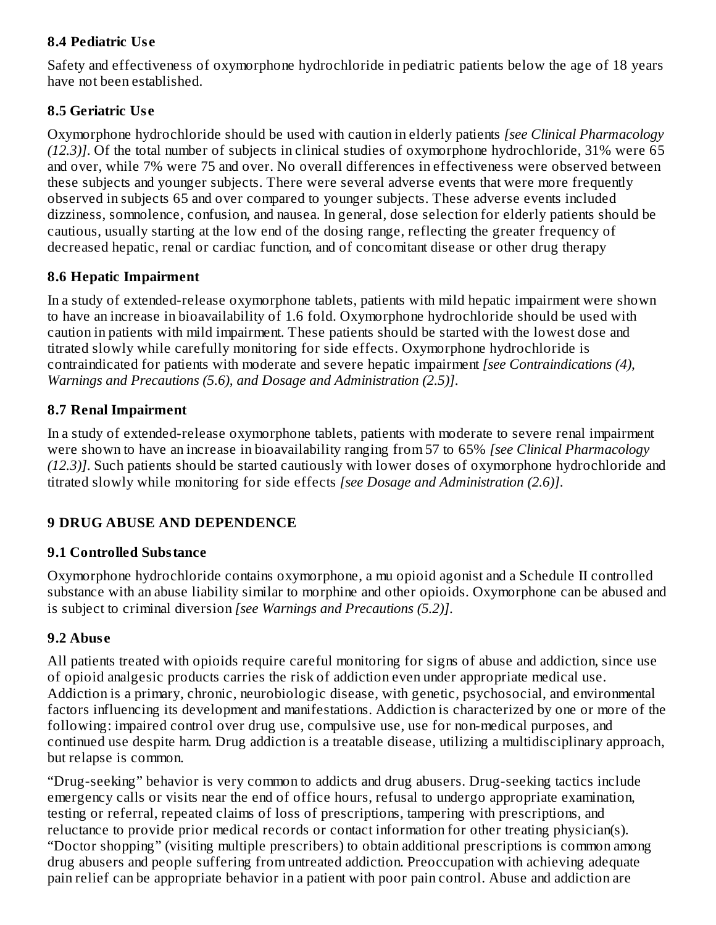### **8.4 Pediatric Us e**

Safety and effectiveness of oxymorphone hydrochloride in pediatric patients below the age of 18 years have not been established.

### **8.5 Geriatric Us e**

Oxymorphone hydrochloride should be used with caution in elderly patients *[see Clinical Pharmacology (12.3)]*. Of the total number of subjects in clinical studies of oxymorphone hydrochloride, 31% were 65 and over, while 7% were 75 and over. No overall differences in effectiveness were observed between these subjects and younger subjects. There were several adverse events that were more frequently observed in subjects 65 and over compared to younger subjects. These adverse events included dizziness, somnolence, confusion, and nausea. In general, dose selection for elderly patients should be cautious, usually starting at the low end of the dosing range, reflecting the greater frequency of decreased hepatic, renal or cardiac function, and of concomitant disease or other drug therapy

### **8.6 Hepatic Impairment**

In a study of extended-release oxymorphone tablets, patients with mild hepatic impairment were shown to have an increase in bioavailability of 1.6 fold. Oxymorphone hydrochloride should be used with caution in patients with mild impairment. These patients should be started with the lowest dose and titrated slowly while carefully monitoring for side effects. Oxymorphone hydrochloride is contraindicated for patients with moderate and severe hepatic impairment *[see Contraindications (4), Warnings and Precautions (5.6), and Dosage and Administration (2.5)]*.

### **8.7 Renal Impairment**

In a study of extended-release oxymorphone tablets, patients with moderate to severe renal impairment were shown to have an increase in bioavailability ranging from 57 to 65% *[see Clinical Pharmacology (12.3)]*. Such patients should be started cautiously with lower doses of oxymorphone hydrochloride and titrated slowly while monitoring for side effects *[see Dosage and Administration (2.6)]*.

## **9 DRUG ABUSE AND DEPENDENCE**

### **9.1 Controlled Substance**

Oxymorphone hydrochloride contains oxymorphone, a mu opioid agonist and a Schedule II controlled substance with an abuse liability similar to morphine and other opioids. Oxymorphone can be abused and is subject to criminal diversion *[see Warnings and Precautions (5.2)]*.

### **9.2 Abus e**

All patients treated with opioids require careful monitoring for signs of abuse and addiction, since use of opioid analgesic products carries the risk of addiction even under appropriate medical use. Addiction is a primary, chronic, neurobiologic disease, with genetic, psychosocial, and environmental factors influencing its development and manifestations. Addiction is characterized by one or more of the following: impaired control over drug use, compulsive use, use for non-medical purposes, and continued use despite harm. Drug addiction is a treatable disease, utilizing a multidisciplinary approach, but relapse is common.

"Drug-seeking" behavior is very common to addicts and drug abusers. Drug-seeking tactics include emergency calls or visits near the end of office hours, refusal to undergo appropriate examination, testing or referral, repeated claims of loss of prescriptions, tampering with prescriptions, and reluctance to provide prior medical records or contact information for other treating physician(s). "Doctor shopping" (visiting multiple prescribers) to obtain additional prescriptions is common among drug abusers and people suffering from untreated addiction. Preoccupation with achieving adequate pain relief can be appropriate behavior in a patient with poor pain control. Abuse and addiction are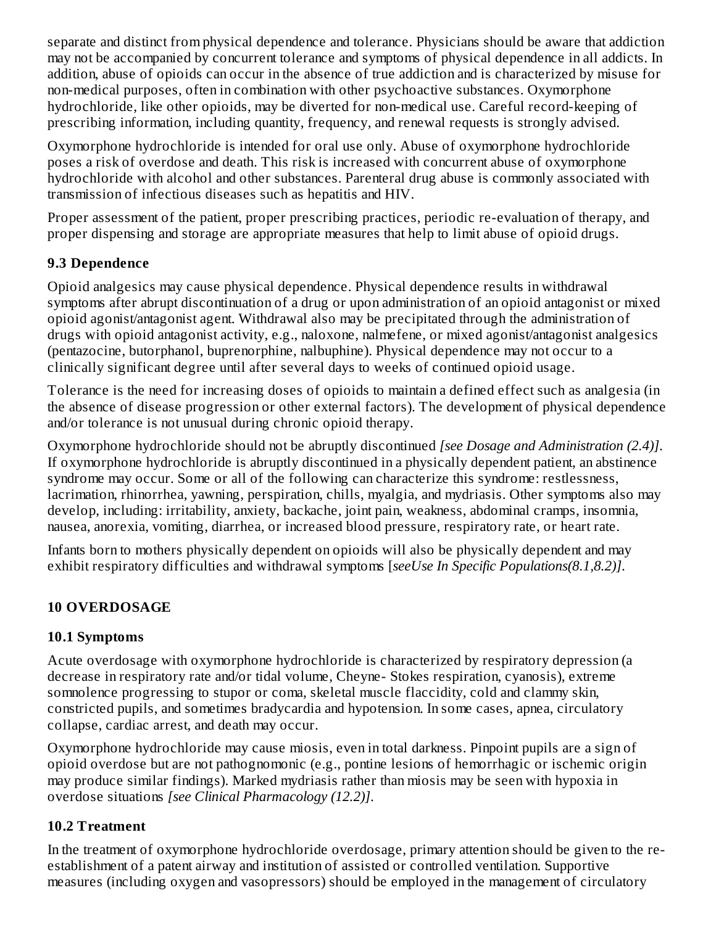separate and distinct from physical dependence and tolerance. Physicians should be aware that addiction may not be accompanied by concurrent tolerance and symptoms of physical dependence in all addicts. In addition, abuse of opioids can occur in the absence of true addiction and is characterized by misuse for non-medical purposes, often in combination with other psychoactive substances. Oxymorphone hydrochloride, like other opioids, may be diverted for non-medical use. Careful record-keeping of prescribing information, including quantity, frequency, and renewal requests is strongly advised.

Oxymorphone hydrochloride is intended for oral use only. Abuse of oxymorphone hydrochloride poses a risk of overdose and death. This risk is increased with concurrent abuse of oxymorphone hydrochloride with alcohol and other substances. Parenteral drug abuse is commonly associated with transmission of infectious diseases such as hepatitis and HIV.

Proper assessment of the patient, proper prescribing practices, periodic re-evaluation of therapy, and proper dispensing and storage are appropriate measures that help to limit abuse of opioid drugs.

### **9.3 Dependence**

Opioid analgesics may cause physical dependence. Physical dependence results in withdrawal symptoms after abrupt discontinuation of a drug or upon administration of an opioid antagonist or mixed opioid agonist/antagonist agent. Withdrawal also may be precipitated through the administration of drugs with opioid antagonist activity, e.g., naloxone, nalmefene, or mixed agonist/antagonist analgesics (pentazocine, butorphanol, buprenorphine, nalbuphine). Physical dependence may not occur to a clinically significant degree until after several days to weeks of continued opioid usage.

Tolerance is the need for increasing doses of opioids to maintain a defined effect such as analgesia (in the absence of disease progression or other external factors). The development of physical dependence and/or tolerance is not unusual during chronic opioid therapy.

Oxymorphone hydrochloride should not be abruptly discontinued *[see Dosage and Administration (2.4)]*. If oxymorphone hydrochloride is abruptly discontinued in a physically dependent patient, an abstinence syndrome may occur. Some or all of the following can characterize this syndrome: restlessness, lacrimation, rhinorrhea, yawning, perspiration, chills, myalgia, and mydriasis. Other symptoms also may develop, including: irritability, anxiety, backache, joint pain, weakness, abdominal cramps, insomnia, nausea, anorexia, vomiting, diarrhea, or increased blood pressure, respiratory rate, or heart rate.

Infants born to mothers physically dependent on opioids will also be physically dependent and may exhibit respiratory difficulties and withdrawal symptoms [*seeUse In Specific Populations(8.1,8.2)]*.

## **10 OVERDOSAGE**

### **10.1 Symptoms**

Acute overdosage with oxymorphone hydrochloride is characterized by respiratory depression (a decrease in respiratory rate and/or tidal volume, Cheyne- Stokes respiration, cyanosis), extreme somnolence progressing to stupor or coma, skeletal muscle flaccidity, cold and clammy skin, constricted pupils, and sometimes bradycardia and hypotension. In some cases, apnea, circulatory collapse, cardiac arrest, and death may occur.

Oxymorphone hydrochloride may cause miosis, even in total darkness. Pinpoint pupils are a sign of opioid overdose but are not pathognomonic (e.g., pontine lesions of hemorrhagic or ischemic origin may produce similar findings). Marked mydriasis rather than miosis may be seen with hypoxia in overdose situations *[see Clinical Pharmacology (12.2)]*.

## **10.2 Treatment**

In the treatment of oxymorphone hydrochloride overdosage, primary attention should be given to the reestablishment of a patent airway and institution of assisted or controlled ventilation. Supportive measures (including oxygen and vasopressors) should be employed in the management of circulatory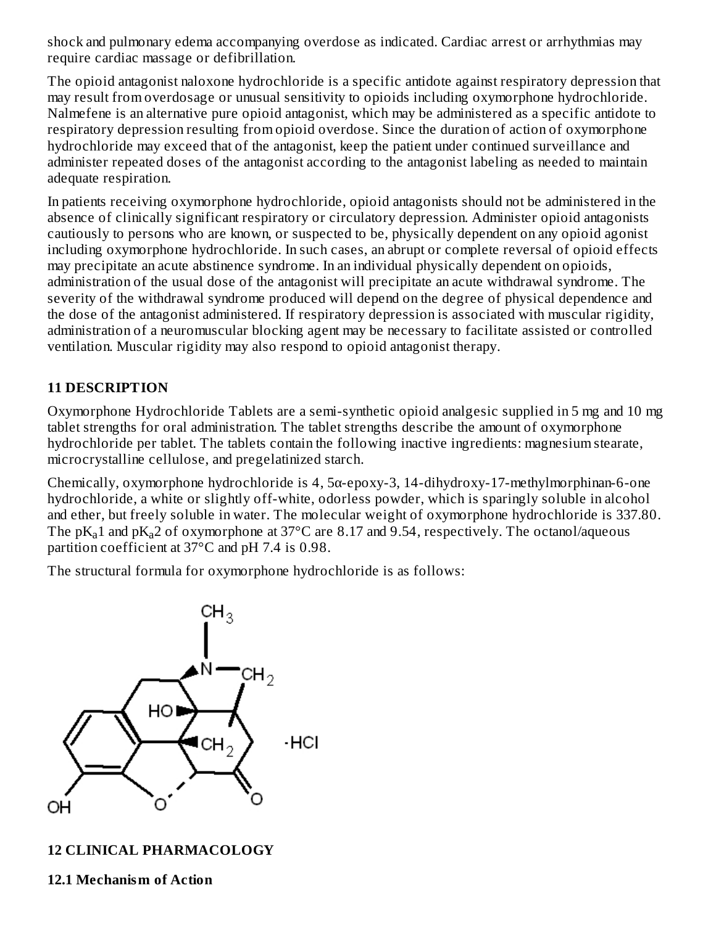shock and pulmonary edema accompanying overdose as indicated. Cardiac arrest or arrhythmias may require cardiac massage or defibrillation.

The opioid antagonist naloxone hydrochloride is a specific antidote against respiratory depression that may result from overdosage or unusual sensitivity to opioids including oxymorphone hydrochloride. Nalmefene is an alternative pure opioid antagonist, which may be administered as a specific antidote to respiratory depression resulting from opioid overdose. Since the duration of action of oxymorphone hydrochloride may exceed that of the antagonist, keep the patient under continued surveillance and administer repeated doses of the antagonist according to the antagonist labeling as needed to maintain adequate respiration.

In patients receiving oxymorphone hydrochloride, opioid antagonists should not be administered in the absence of clinically significant respiratory or circulatory depression. Administer opioid antagonists cautiously to persons who are known, or suspected to be, physically dependent on any opioid agonist including oxymorphone hydrochloride. In such cases, an abrupt or complete reversal of opioid effects may precipitate an acute abstinence syndrome. In an individual physically dependent on opioids, administration of the usual dose of the antagonist will precipitate an acute withdrawal syndrome. The severity of the withdrawal syndrome produced will depend on the degree of physical dependence and the dose of the antagonist administered. If respiratory depression is associated with muscular rigidity, administration of a neuromuscular blocking agent may be necessary to facilitate assisted or controlled ventilation. Muscular rigidity may also respond to opioid antagonist therapy.

### **11 DESCRIPTION**

Oxymorphone Hydrochloride Tablets are a semi-synthetic opioid analgesic supplied in 5 mg and 10 mg tablet strengths for oral administration. The tablet strengths describe the amount of oxymorphone hydrochloride per tablet. The tablets contain the following inactive ingredients: magnesium stearate, microcrystalline cellulose, and pregelatinized starch.

Chemically, oxymorphone hydrochloride is 4, 5α-epoxy-3, 14-dihydroxy-17-methylmorphinan-6-one hydrochloride, a white or slightly off-white, odorless powder, which is sparingly soluble in alcohol and ether, but freely soluble in water. The molecular weight of oxymorphone hydrochloride is 337.80. The p $K_a$ 1 and p $K_a$ 2 of oxymorphone at 37°C are 8.17 and 9.54, respectively. The octanol/aqueous partition coefficient at 37°C and pH 7.4 is 0.98.

The structural formula for oxymorphone hydrochloride is as follows:



### **12 CLINICAL PHARMACOLOGY**

**12.1 Mechanism of Action**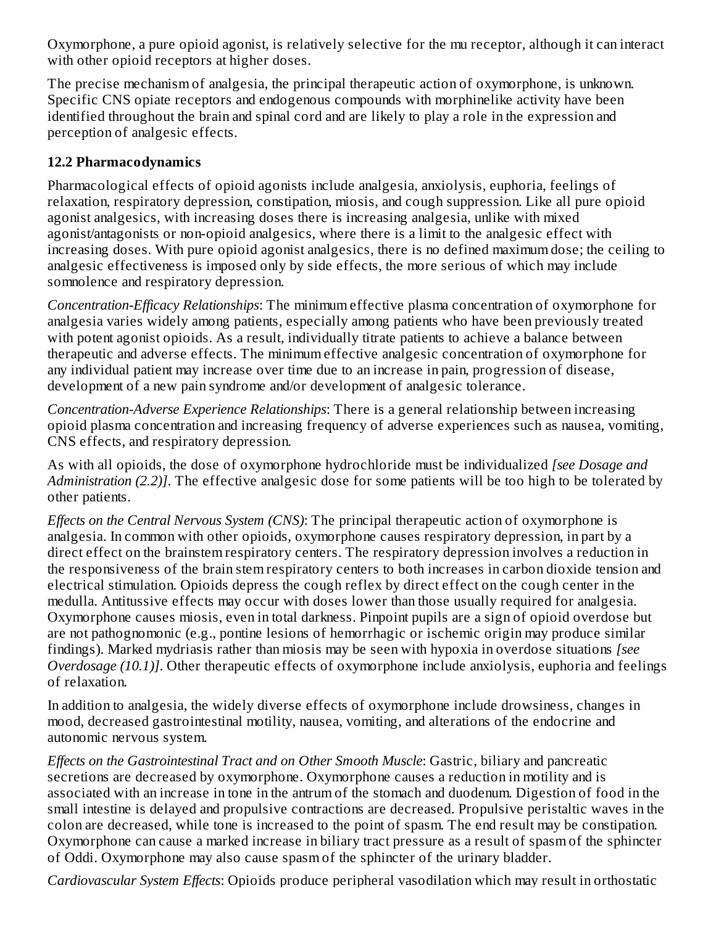Oxymorphone, a pure opioid agonist, is relatively selective for the mu receptor, although it can interact with other opioid receptors at higher doses.

The precise mechanism of analgesia, the principal therapeutic action of oxymorphone, is unknown. Specific CNS opiate receptors and endogenous compounds with morphinelike activity have been identified throughout the brain and spinal cord and are likely to play a role in the expression and perception of analgesic effects.

### **12.2 Pharmacodynamics**

Pharmacological effects of opioid agonists include analgesia, anxiolysis, euphoria, feelings of relaxation, respiratory depression, constipation, miosis, and cough suppression. Like all pure opioid agonist analgesics, with increasing doses there is increasing analgesia, unlike with mixed agonist/antagonists or non-opioid analgesics, where there is a limit to the analgesic effect with increasing doses. With pure opioid agonist analgesics, there is no defined maximum dose; the ceiling to analgesic effectiveness is imposed only by side effects, the more serious of which may include somnolence and respiratory depression.

*Concentration-Efficacy Relationships*: The minimum effective plasma concentration of oxymorphone for analgesia varies widely among patients, especially among patients who have been previously treated with potent agonist opioids. As a result, individually titrate patients to achieve a balance between therapeutic and adverse effects. The minimum effective analgesic concentration of oxymorphone for any individual patient may increase over time due to an increase in pain, progression of disease, development of a new pain syndrome and/or development of analgesic tolerance.

*Concentration-Adverse Experience Relationships*: There is a general relationship between increasing opioid plasma concentration and increasing frequency of adverse experiences such as nausea, vomiting, CNS effects, and respiratory depression.

As with all opioids, the dose of oxymorphone hydrochloride must be individualized *[see Dosage and Administration (2.2)]*. The effective analgesic dose for some patients will be too high to be tolerated by other patients.

*Effects on the Central Nervous System (CNS)*: The principal therapeutic action of oxymorphone is analgesia. In common with other opioids, oxymorphone causes respiratory depression, in part by a direct effect on the brainstem respiratory centers. The respiratory depression involves a reduction in the responsiveness of the brain stem respiratory centers to both increases in carbon dioxide tension and electrical stimulation. Opioids depress the cough reflex by direct effect on the cough center in the medulla. Antitussive effects may occur with doses lower than those usually required for analgesia. Oxymorphone causes miosis, even in total darkness. Pinpoint pupils are a sign of opioid overdose but are not pathognomonic (e.g., pontine lesions of hemorrhagic or ischemic origin may produce similar findings). Marked mydriasis rather than miosis may be seen with hypoxia in overdose situations *[see Overdosage (10.1)]*. Other therapeutic effects of oxymorphone include anxiolysis, euphoria and feelings of relaxation.

In addition to analgesia, the widely diverse effects of oxymorphone include drowsiness, changes in mood, decreased gastrointestinal motility, nausea, vomiting, and alterations of the endocrine and autonomic nervous system.

*Effects on the Gastrointestinal Tract and on Other Smooth Muscle*: Gastric, biliary and pancreatic secretions are decreased by oxymorphone. Oxymorphone causes a reduction in motility and is associated with an increase in tone in the antrum of the stomach and duodenum. Digestion of food in the small intestine is delayed and propulsive contractions are decreased. Propulsive peristaltic waves in the colon are decreased, while tone is increased to the point of spasm. The end result may be constipation. Oxymorphone can cause a marked increase in biliary tract pressure as a result of spasm of the sphincter of Oddi. Oxymorphone may also cause spasm of the sphincter of the urinary bladder.

*Cardiovascular System Effects*: Opioids produce peripheral vasodilation which may result in orthostatic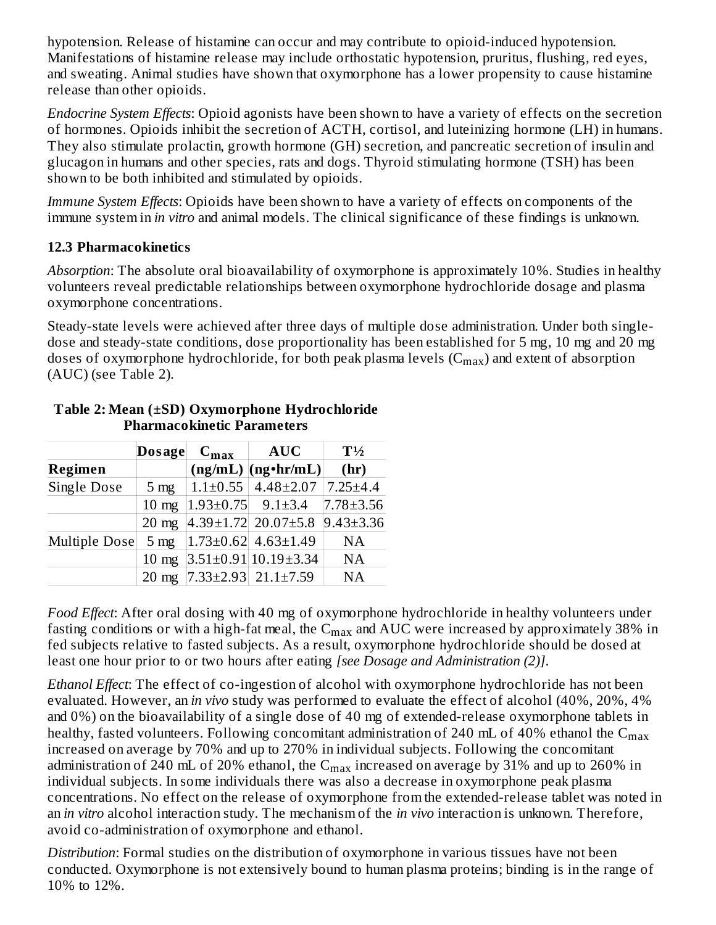hypotension. Release of histamine can occur and may contribute to opioid-induced hypotension. Manifestations of histamine release may include orthostatic hypotension, pruritus, flushing, red eyes, and sweating. Animal studies have shown that oxymorphone has a lower propensity to cause histamine release than other opioids.

*Endocrine System Effects*: Opioid agonists have been shown to have a variety of effects on the secretion of hormones. Opioids inhibit the secretion of ACTH, cortisol, and luteinizing hormone (LH) in humans. They also stimulate prolactin, growth hormone (GH) secretion, and pancreatic secretion of insulin and glucagon in humans and other species, rats and dogs. Thyroid stimulating hormone (TSH) has been shown to be both inhibited and stimulated by opioids.

*Immune System Effects*: Opioids have been shown to have a variety of effects on components of the immune system in *in vitro* and animal models. The clinical significance of these findings is unknown.

### **12.3 Pharmacokinetics**

*Absorption*: The absolute oral bioavailability of oxymorphone is approximately 10%. Studies in healthy volunteers reveal predictable relationships between oxymorphone hydrochloride dosage and plasma oxymorphone concentrations.

Steady-state levels were achieved after three days of multiple dose administration. Under both singledose and steady-state conditions, dose proportionality has been established for 5 mg, 10 mg and 20 mg doses of oxymorphone hydrochloride, for both peak plasma levels ( $\rm{C_{max}}$ ) and extent of absorption (AUC) (see Table 2).

|                    | Dosage          | $C_{\text{max}}$             | <b>AUC</b>                        | $T\frac{1}{2}$  |  |  |
|--------------------|-----------------|------------------------------|-----------------------------------|-----------------|--|--|
| <b>Regimen</b>     |                 |                              | $(ng/mL)$ $(ng\cdot hr/mL)$       | (hr)            |  |  |
| <b>Single Dose</b> | $5 \text{ mg}$  |                              | $1.1\pm0.55$   $4.48\pm2.07$      | $7.25 \pm 4.4$  |  |  |
|                    | $10 \text{ mg}$ | $ 1.93\pm0.75 $ 9.1 $\pm3.4$ |                                   | $7.78 \pm 3.56$ |  |  |
|                    | $20 \text{ mg}$ |                              | $ 4.39 \pm 1.72 $ 20.07 $\pm$ 5.8 | $9.43 \pm 3.36$ |  |  |
| Multiple Dose      | 5 <sub>mg</sub> |                              | $ 1.73 \pm 0.62 $ 4.63 $\pm 1.49$ | <b>NA</b>       |  |  |
|                    | $10 \text{ mg}$ |                              | $3.51 \pm 0.91   10.19 \pm 3.34$  | NA              |  |  |
|                    | $20 \text{ mg}$ |                              | $ 7.33 \pm 2.93 $ 21.1 $\pm 7.59$ | <b>NA</b>       |  |  |

#### **Table 2: Mean (±SD) Oxymorphone Hydrochloride Pharmacokinetic Parameters**

*Food Effect*: After oral dosing with 40 mg of oxymorphone hydrochloride in healthy volunteers under fasting conditions or with a high-fat meal, the  $\rm C_{max}$  and  $\rm AUC$  were increased by approximately 38% in fed subjects relative to fasted subjects. As a result, oxymorphone hydrochloride should be dosed at least one hour prior to or two hours after eating *[see Dosage and Administration (2)]*.

*Ethanol Effect*: The effect of co-ingestion of alcohol with oxymorphone hydrochloride has not been evaluated. However, an *in vivo* study was performed to evaluate the effect of alcohol (40%, 20%, 4% and 0%) on the bioavailability of a single dose of 40 mg of extended-release oxymorphone tablets in healthy, fasted volunteers. Following concomitant administration of 240 mL of 40% ethanol the  $\rm{C_{max}}$ increased on average by 70% and up to 270% in individual subjects. Following the concomitant administration of 240 mL of 20% ethanol, the  $\rm{C_{max}}$  increased on average by 31% and up to 260% in individual subjects. In some individuals there was also a decrease in oxymorphone peak plasma concentrations. No effect on the release of oxymorphone from the extended-release tablet was noted in an *in vitro* alcohol interaction study. The mechanism of the *in vivo* interaction is unknown. Therefore, avoid co-administration of oxymorphone and ethanol.

*Distribution*: Formal studies on the distribution of oxymorphone in various tissues have not been conducted. Oxymorphone is not extensively bound to human plasma proteins; binding is in the range of 10% to 12%.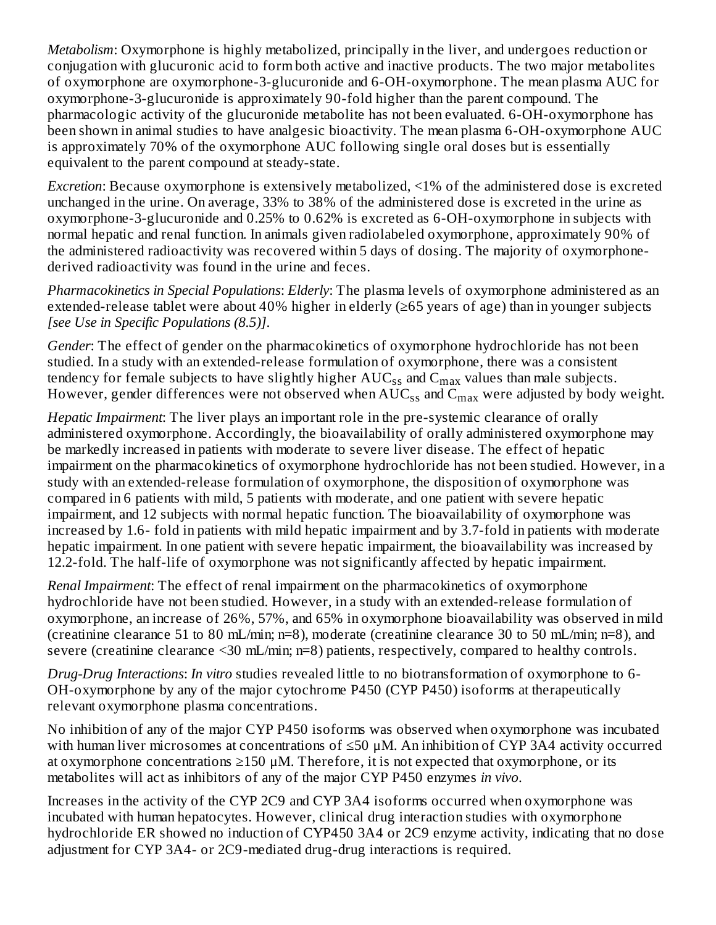*Metabolism*: Oxymorphone is highly metabolized, principally in the liver, and undergoes reduction or conjugation with glucuronic acid to form both active and inactive products. The two major metabolites of oxymorphone are oxymorphone-3-glucuronide and 6-OH-oxymorphone. The mean plasma AUC for oxymorphone-3-glucuronide is approximately 90-fold higher than the parent compound. The pharmacologic activity of the glucuronide metabolite has not been evaluated. 6-OH-oxymorphone has been shown in animal studies to have analgesic bioactivity. The mean plasma 6-OH-oxymorphone AUC is approximately 70% of the oxymorphone AUC following single oral doses but is essentially equivalent to the parent compound at steady-state.

*Excretion*: Because oxymorphone is extensively metabolized, <1% of the administered dose is excreted unchanged in the urine. On average, 33% to 38% of the administered dose is excreted in the urine as oxymorphone-3-glucuronide and 0.25% to 0.62% is excreted as 6-OH-oxymorphone in subjects with normal hepatic and renal function. In animals given radiolabeled oxymorphone, approximately 90% of the administered radioactivity was recovered within 5 days of dosing. The majority of oxymorphonederived radioactivity was found in the urine and feces.

*Pharmacokinetics in Special Populations*: *Elderly*: The plasma levels of oxymorphone administered as an extended-release tablet were about 40% higher in elderly (≥65 years of age) than in younger subjects *[see Use in Specific Populations (8.5)]*.

*Gender*: The effect of gender on the pharmacokinetics of oxymorphone hydrochloride has not been studied. In a study with an extended-release formulation of oxymorphone, there was a consistent tendency for female subjects to have slightly higher  $\mathrm{AUC_{ss}}$  and  $\mathrm{C_{max}}$  values than male subjects. However, gender differences were not observed when  $\mathrm{AUC_{ss}}$  and  $\mathrm{C_{max}}$  were adjusted by body weight.

*Hepatic Impairment*: The liver plays an important role in the pre-systemic clearance of orally administered oxymorphone. Accordingly, the bioavailability of orally administered oxymorphone may be markedly increased in patients with moderate to severe liver disease. The effect of hepatic impairment on the pharmacokinetics of oxymorphone hydrochloride has not been studied. However, in a study with an extended-release formulation of oxymorphone, the disposition of oxymorphone was compared in 6 patients with mild, 5 patients with moderate, and one patient with severe hepatic impairment, and 12 subjects with normal hepatic function. The bioavailability of oxymorphone was increased by 1.6- fold in patients with mild hepatic impairment and by 3.7-fold in patients with moderate hepatic impairment. In one patient with severe hepatic impairment, the bioavailability was increased by 12.2-fold. The half-life of oxymorphone was not significantly affected by hepatic impairment.

*Renal Impairment*: The effect of renal impairment on the pharmacokinetics of oxymorphone hydrochloride have not been studied. However, in a study with an extended-release formulation of oxymorphone, an increase of 26%, 57%, and 65% in oxymorphone bioavailability was observed in mild (creatinine clearance 51 to 80 mL/min; n=8), moderate (creatinine clearance 30 to 50 mL/min; n=8), and severe (creatinine clearance <30 mL/min; n=8) patients, respectively, compared to healthy controls.

*Drug-Drug Interactions*: *In vitro* studies revealed little to no biotransformation of oxymorphone to 6- OH-oxymorphone by any of the major cytochrome P450 (CYP P450) isoforms at therapeutically relevant oxymorphone plasma concentrations.

No inhibition of any of the major CYP P450 isoforms was observed when oxymorphone was incubated with human liver microsomes at concentrations of ≤50 μM. An inhibition of CYP 3A4 activity occurred at oxymorphone concentrations  $\geq 150 \mu M$ . Therefore, it is not expected that oxymorphone, or its metabolites will act as inhibitors of any of the major CYP P450 enzymes *in vivo*.

Increases in the activity of the CYP 2C9 and CYP 3A4 isoforms occurred when oxymorphone was incubated with human hepatocytes. However, clinical drug interaction studies with oxymorphone hydrochloride ER showed no induction of CYP450 3A4 or 2C9 enzyme activity, indicating that no dose adjustment for CYP 3A4- or 2C9-mediated drug-drug interactions is required.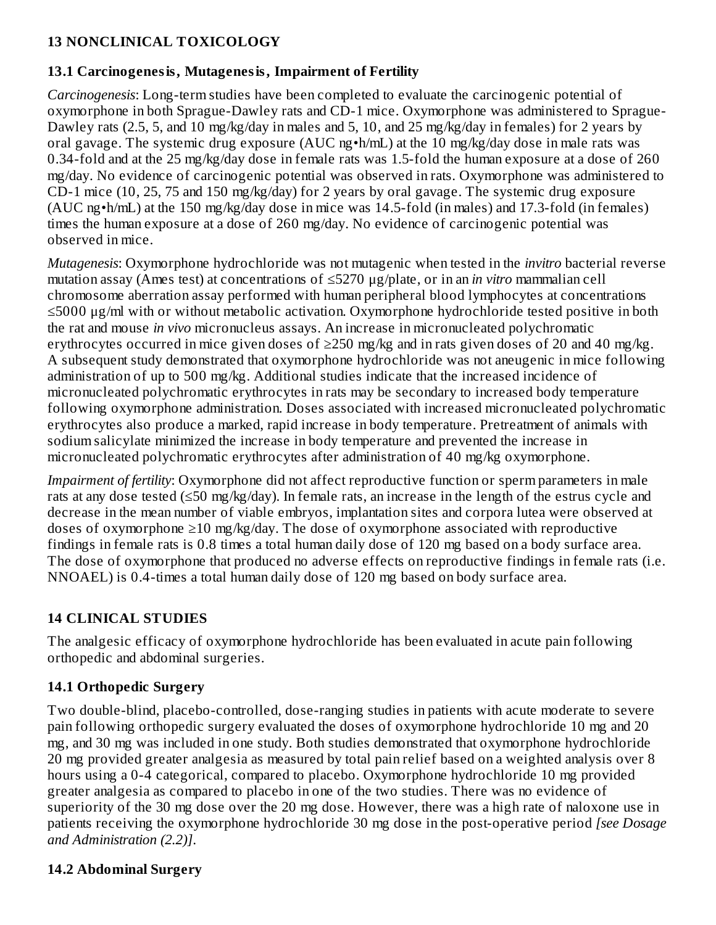### **13 NONCLINICAL TOXICOLOGY**

### **13.1 Carcinogenesis, Mutagenesis, Impairment of Fertility**

*Carcinogenesis*: Long-term studies have been completed to evaluate the carcinogenic potential of oxymorphone in both Sprague-Dawley rats and CD-1 mice. Oxymorphone was administered to Sprague-Dawley rats (2.5, 5, and 10 mg/kg/day in males and 5, 10, and 25 mg/kg/day in females) for 2 years by oral gavage. The systemic drug exposure (AUC ng•h/mL) at the 10 mg/kg/day dose in male rats was 0.34-fold and at the 25 mg/kg/day dose in female rats was 1.5-fold the human exposure at a dose of 260 mg/day. No evidence of carcinogenic potential was observed in rats. Oxymorphone was administered to CD-1 mice (10, 25, 75 and 150 mg/kg/day) for 2 years by oral gavage. The systemic drug exposure (AUC ng•h/mL) at the 150 mg/kg/day dose in mice was 14.5-fold (in males) and 17.3-fold (in females) times the human exposure at a dose of 260 mg/day. No evidence of carcinogenic potential was observed in mice.

*Mutagenesis*: Oxymorphone hydrochloride was not mutagenic when tested in the *invitro* bacterial reverse mutation assay (Ames test) at concentrations of ≤5270 μg/plate, or in an *in vitro* mammalian cell chromosome aberration assay performed with human peripheral blood lymphocytes at concentrations ≤5000 μg/ml with or without metabolic activation. Oxymorphone hydrochloride tested positive in both the rat and mouse *in vivo* micronucleus assays. An increase in micronucleated polychromatic erythrocytes occurred in mice given doses of  $\geq$ 250 mg/kg and in rats given doses of 20 and 40 mg/kg. A subsequent study demonstrated that oxymorphone hydrochloride was not aneugenic in mice following administration of up to 500 mg/kg. Additional studies indicate that the increased incidence of micronucleated polychromatic erythrocytes in rats may be secondary to increased body temperature following oxymorphone administration. Doses associated with increased micronucleated polychromatic erythrocytes also produce a marked, rapid increase in body temperature. Pretreatment of animals with sodium salicylate minimized the increase in body temperature and prevented the increase in micronucleated polychromatic erythrocytes after administration of 40 mg/kg oxymorphone.

*Impairment of fertility*: Oxymorphone did not affect reproductive function or sperm parameters in male rats at any dose tested (≤50 mg/kg/day). In female rats, an increase in the length of the estrus cycle and decrease in the mean number of viable embryos, implantation sites and corpora lutea were observed at doses of oxymorphone  $\geq 10$  mg/kg/day. The dose of oxymorphone associated with reproductive findings in female rats is 0.8 times a total human daily dose of 120 mg based on a body surface area. The dose of oxymorphone that produced no adverse effects on reproductive findings in female rats (i.e. NNOAEL) is 0.4-times a total human daily dose of 120 mg based on body surface area.

### **14 CLINICAL STUDIES**

The analgesic efficacy of oxymorphone hydrochloride has been evaluated in acute pain following orthopedic and abdominal surgeries.

### **14.1 Orthopedic Surgery**

Two double-blind, placebo-controlled, dose-ranging studies in patients with acute moderate to severe pain following orthopedic surgery evaluated the doses of oxymorphone hydrochloride 10 mg and 20 mg, and 30 mg was included in one study. Both studies demonstrated that oxymorphone hydrochloride 20 mg provided greater analgesia as measured by total pain relief based on a weighted analysis over 8 hours using a 0-4 categorical, compared to placebo. Oxymorphone hydrochloride 10 mg provided greater analgesia as compared to placebo in one of the two studies. There was no evidence of superiority of the 30 mg dose over the 20 mg dose. However, there was a high rate of naloxone use in patients receiving the oxymorphone hydrochloride 30 mg dose in the post-operative period *[see Dosage and Administration (2.2)]*.

### **14.2 Abdominal Surgery**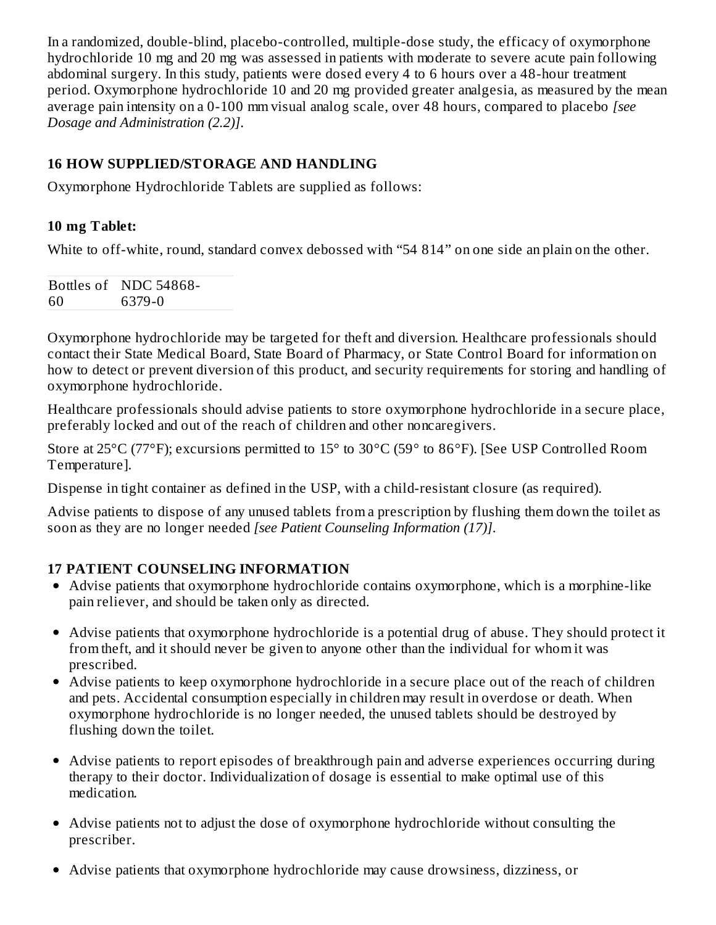In a randomized, double-blind, placebo-controlled, multiple-dose study, the efficacy of oxymorphone hydrochloride 10 mg and 20 mg was assessed in patients with moderate to severe acute pain following abdominal surgery. In this study, patients were dosed every 4 to 6 hours over a 48-hour treatment period. Oxymorphone hydrochloride 10 and 20 mg provided greater analgesia, as measured by the mean average pain intensity on a 0-100 mm visual analog scale, over 48 hours, compared to placebo *[see Dosage and Administration (2.2)]*.

### **16 HOW SUPPLIED/STORAGE AND HANDLING**

Oxymorphone Hydrochloride Tablets are supplied as follows:

### **10 mg Tablet:**

White to off-white, round, standard convex debossed with "54 814" on one side an plain on the other.

|    | Bottles of NDC 54868- |
|----|-----------------------|
| 60 | 6379-0                |

Oxymorphone hydrochloride may be targeted for theft and diversion. Healthcare professionals should contact their State Medical Board, State Board of Pharmacy, or State Control Board for information on how to detect or prevent diversion of this product, and security requirements for storing and handling of oxymorphone hydrochloride.

Healthcare professionals should advise patients to store oxymorphone hydrochloride in a secure place, preferably locked and out of the reach of children and other noncaregivers.

Store at 25°C (77°F); excursions permitted to 15° to 30°C (59° to 86°F). [See USP Controlled Room Temperature].

Dispense in tight container as defined in the USP, with a child-resistant closure (as required).

Advise patients to dispose of any unused tablets from a prescription by flushing them down the toilet as soon as they are no longer needed *[see Patient Counseling Information (17)]*.

### **17 PATIENT COUNSELING INFORMATION**

- Advise patients that oxymorphone hydrochloride contains oxymorphone, which is a morphine-like pain reliever, and should be taken only as directed.
- Advise patients that oxymorphone hydrochloride is a potential drug of abuse. They should protect it from theft, and it should never be given to anyone other than the individual for whom it was prescribed.
- Advise patients to keep oxymorphone hydrochloride in a secure place out of the reach of children and pets. Accidental consumption especially in children may result in overdose or death. When oxymorphone hydrochloride is no longer needed, the unused tablets should be destroyed by flushing down the toilet.
- Advise patients to report episodes of breakthrough pain and adverse experiences occurring during therapy to their doctor. Individualization of dosage is essential to make optimal use of this medication.
- Advise patients not to adjust the dose of oxymorphone hydrochloride without consulting the prescriber.
- Advise patients that oxymorphone hydrochloride may cause drowsiness, dizziness, or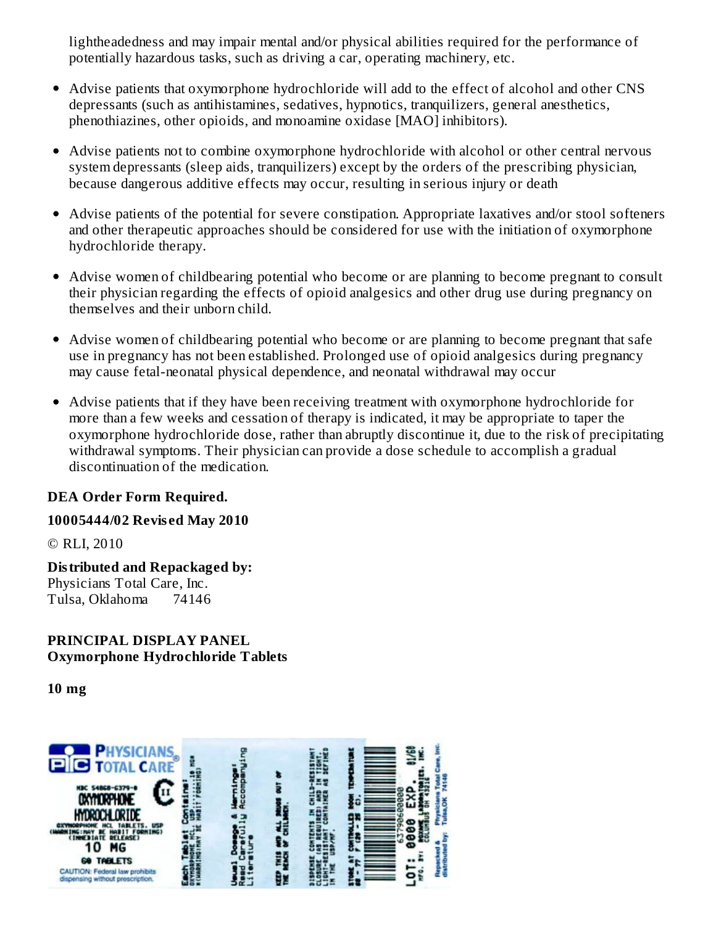lightheadedness and may impair mental and/or physical abilities required for the performance of potentially hazardous tasks, such as driving a car, operating machinery, etc.

- Advise patients that oxymorphone hydrochloride will add to the effect of alcohol and other CNS depressants (such as antihistamines, sedatives, hypnotics, tranquilizers, general anesthetics, phenothiazines, other opioids, and monoamine oxidase [MAO] inhibitors).
- Advise patients not to combine oxymorphone hydrochloride with alcohol or other central nervous system depressants (sleep aids, tranquilizers) except by the orders of the prescribing physician, because dangerous additive effects may occur, resulting in serious injury or death
- Advise patients of the potential for severe constipation. Appropriate laxatives and/or stool softeners and other therapeutic approaches should be considered for use with the initiation of oxymorphone hydrochloride therapy.
- Advise women of childbearing potential who become or are planning to become pregnant to consult their physician regarding the effects of opioid analgesics and other drug use during pregnancy on themselves and their unborn child.
- Advise women of childbearing potential who become or are planning to become pregnant that safe use in pregnancy has not been established. Prolonged use of opioid analgesics during pregnancy may cause fetal-neonatal physical dependence, and neonatal withdrawal may occur
- Advise patients that if they have been receiving treatment with oxymorphone hydrochloride for more than a few weeks and cessation of therapy is indicated, it may be appropriate to taper the oxymorphone hydrochloride dose, rather than abruptly discontinue it, due to the risk of precipitating withdrawal symptoms. Their physician can provide a dose schedule to accomplish a gradual discontinuation of the medication.

### **DEA Order Form Required.**

**10005444/02 Revis ed May 2010**

© RLI, 2010

**Distributed and Repackaged by:** Physicians Total Care, Inc. Tulsa, Oklahoma 74146

**PRINCIPAL DISPLAY PANEL Oxymorphone Hydrochloride Tablets**

**10 mg**

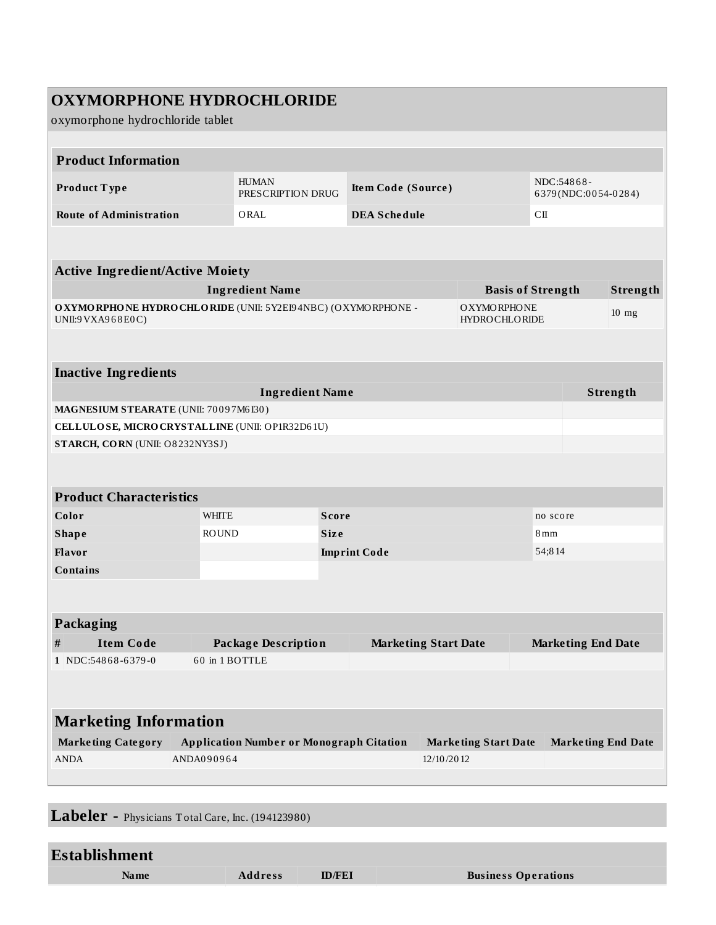| <b>OXYMORPHONE HYDROCHLORIDE</b><br>oxymorphone hydrochloride tablet                |                |                                                           |              |                           |            |                                            |                           |                                   |                           |          |
|-------------------------------------------------------------------------------------|----------------|-----------------------------------------------------------|--------------|---------------------------|------------|--------------------------------------------|---------------------------|-----------------------------------|---------------------------|----------|
| <b>Product Information</b>                                                          |                |                                                           |              |                           |            |                                            |                           |                                   |                           |          |
| Product Type                                                                        |                | <b>HUMAN</b><br>PRESCRIPTION DRUG                         |              | <b>Item Code (Source)</b> |            |                                            |                           | NDC:54868-<br>6379(NDC:0054-0284) |                           |          |
| <b>Route of Administration</b>                                                      |                | ORAL                                                      |              | <b>DEA Schedule</b>       |            |                                            |                           | C <sub>II</sub>                   |                           |          |
|                                                                                     |                |                                                           |              |                           |            |                                            |                           |                                   |                           |          |
| <b>Active Ingredient/Active Moiety</b>                                              |                |                                                           |              |                           |            |                                            |                           |                                   |                           |          |
|                                                                                     |                | <b>Ingredient Name</b>                                    |              |                           |            |                                            |                           | <b>Basis of Strength</b>          |                           | Strength |
| O XYMO RPHONE HYDRO CHLORIDE (UNII: 5Y2E194NBC) (OXYMORPHONE -<br>UNII:9 VXA968E0C) |                |                                                           |              |                           |            | <b>OXYMORPHONE</b><br><b>HYDROCHLORIDE</b> |                           |                                   | $10$ mg                   |          |
|                                                                                     |                |                                                           |              |                           |            |                                            |                           |                                   |                           |          |
| <b>Inactive Ingredients</b>                                                         |                |                                                           |              |                           |            |                                            |                           |                                   |                           |          |
|                                                                                     |                | <b>Ingredient Name</b>                                    |              |                           |            |                                            |                           |                                   |                           | Strength |
| MAGNESIUM STEARATE (UNII: 70097M6I30)                                               |                |                                                           |              |                           |            |                                            |                           |                                   |                           |          |
| CELLULOSE, MICRO CRYSTALLINE (UNII: OP1R32D61U)                                     |                |                                                           |              |                           |            |                                            |                           |                                   |                           |          |
| STARCH, CORN (UNII: O8232NY3SJ)                                                     |                |                                                           |              |                           |            |                                            |                           |                                   |                           |          |
| <b>Product Characteristics</b>                                                      |                |                                                           |              |                           |            |                                            |                           |                                   |                           |          |
| Color                                                                               | <b>WHITE</b>   |                                                           | <b>Score</b> |                           |            |                                            |                           | no score                          |                           |          |
| <b>Shape</b>                                                                        | <b>ROUND</b>   |                                                           | <b>Size</b>  |                           |            |                                            | 8 <sub>mm</sub>           |                                   |                           |          |
| Flavor                                                                              |                |                                                           |              | <b>Imprint Code</b>       |            |                                            | 54;814                    |                                   |                           |          |
| <b>Contains</b>                                                                     |                |                                                           |              |                           |            |                                            |                           |                                   |                           |          |
|                                                                                     |                |                                                           |              |                           |            |                                            |                           |                                   |                           |          |
| Packaging                                                                           |                |                                                           |              |                           |            |                                            |                           |                                   |                           |          |
| <b>Item Code</b><br>#                                                               |                | <b>Package Description</b><br><b>Marketing Start Date</b> |              |                           |            |                                            | <b>Marketing End Date</b> |                                   |                           |          |
| 1 NDC:54868-6379-0                                                                  | 60 in 1 BOTTLE |                                                           |              |                           |            |                                            |                           |                                   |                           |          |
|                                                                                     |                |                                                           |              |                           |            |                                            |                           |                                   |                           |          |
| <b>Marketing Information</b>                                                        |                |                                                           |              |                           |            |                                            |                           |                                   |                           |          |
| <b>Marketing Category</b>                                                           |                | <b>Application Number or Monograph Citation</b>           |              |                           |            | <b>Marketing Start Date</b>                |                           |                                   | <b>Marketing End Date</b> |          |
| ANDA                                                                                | ANDA090964     |                                                           |              |                           | 12/10/2012 |                                            |                           |                                   |                           |          |
|                                                                                     |                |                                                           |              |                           |            |                                            |                           |                                   |                           |          |

**Labeler -** Physicians Total Care, Inc. (194123980)

# **Establishment Name Address ID/FEI Business Operations**